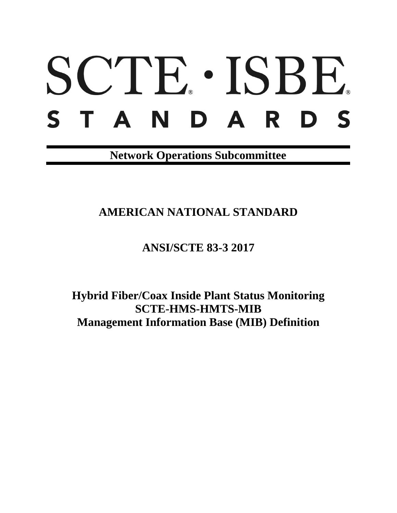# SCTE · ISBE. S T A N D A R D S

**Network Operations Subcommittee**

**AMERICAN NATIONAL STANDARD**

**ANSI/SCTE 83-3 2017**

**Hybrid Fiber/Coax Inside Plant Status Monitoring SCTE-HMS-HMTS-MIB Management Information Base (MIB) Definition**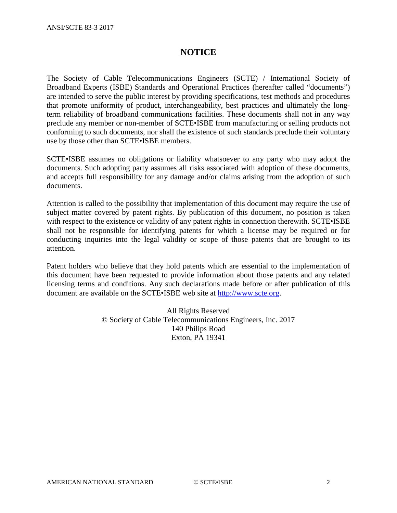# **NOTICE**

The Society of Cable Telecommunications Engineers (SCTE) / International Society of Broadband Experts (ISBE) Standards and Operational Practices (hereafter called "documents") are intended to serve the public interest by providing specifications, test methods and procedures that promote uniformity of product, interchangeability, best practices and ultimately the longterm reliability of broadband communications facilities. These documents shall not in any way preclude any member or non-member of SCTE•ISBE from manufacturing or selling products not conforming to such documents, nor shall the existence of such standards preclude their voluntary use by those other than SCTE•ISBE members.

SCTE•ISBE assumes no obligations or liability whatsoever to any party who may adopt the documents. Such adopting party assumes all risks associated with adoption of these documents, and accepts full responsibility for any damage and/or claims arising from the adoption of such documents.

Attention is called to the possibility that implementation of this document may require the use of subject matter covered by patent rights. By publication of this document, no position is taken with respect to the existence or validity of any patent rights in connection therewith. SCTE•ISBE shall not be responsible for identifying patents for which a license may be required or for conducting inquiries into the legal validity or scope of those patents that are brought to its attention.

Patent holders who believe that they hold patents which are essential to the implementation of this document have been requested to provide information about those patents and any related licensing terms and conditions. Any such declarations made before or after publication of this document are available on the SCTE•ISBE web site at [http://www.scte.org.](http://www.scte.org/)

> All Rights Reserved © Society of Cable Telecommunications Engineers, Inc. 2017 140 Philips Road Exton, PA 19341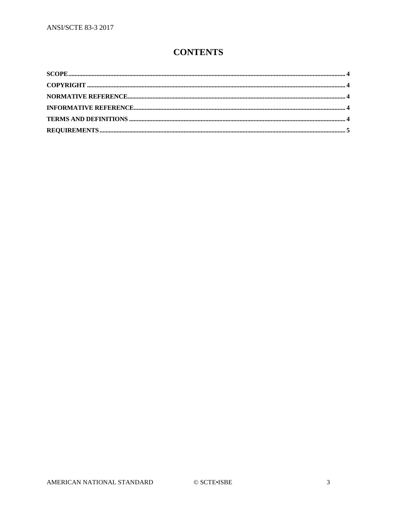# **CONTENTS**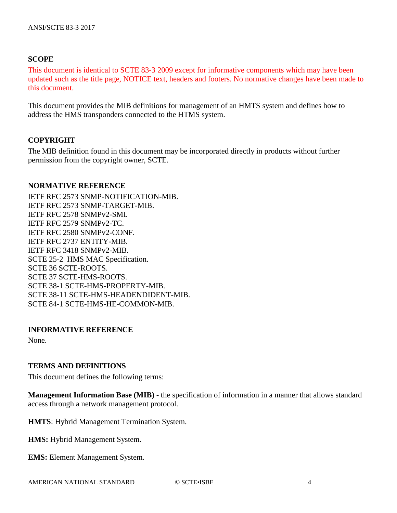# <span id="page-3-0"></span>**SCOPE**

This document is identical to SCTE 83-3 2009 except for informative components which may have been updated such as the title page, NOTICE text, headers and footers. No normative changes have been made to this document.

This document provides the MIB definitions for management of an HMTS system and defines how to address the HMS transponders connected to the HTMS system.

# <span id="page-3-1"></span>**COPYRIGHT**

The MIB definition found in this document may be incorporated directly in products without further permission from the copyright owner, SCTE.

### <span id="page-3-2"></span>**NORMATIVE REFERENCE**

IETF RFC 2573 SNMP-NOTIFICATION-MIB. IETF RFC 2573 SNMP-TARGET-MIB. IETF RFC 2578 SNMPv2-SMI. IETF RFC 2579 SNMPv2-TC. IETF RFC 2580 SNMPv2-CONF. IETF RFC 2737 ENTITY-MIB. IETF RFC 3418 SNMPv2-MIB. SCTE 25-2 HMS MAC Specification. SCTE 36 SCTE-ROOTS. SCTE 37 SCTE-HMS-ROOTS. SCTE 38-1 SCTE-HMS-PROPERTY-MIB. SCTE 38-11 SCTE-HMS-HEADENDIDENT-MIB. SCTE 84-1 SCTE-HMS-HE-COMMON-MIB.

## <span id="page-3-3"></span>**INFORMATIVE REFERENCE**

None.

# <span id="page-3-4"></span>**TERMS AND DEFINITIONS**

This document defines the following terms:

**Management Information Base (MIB)** - the specification of information in a manner that allows standard access through a network management protocol.

**HMTS**: Hybrid Management Termination System.

**HMS:** Hybrid Management System.

**EMS:** Element Management System.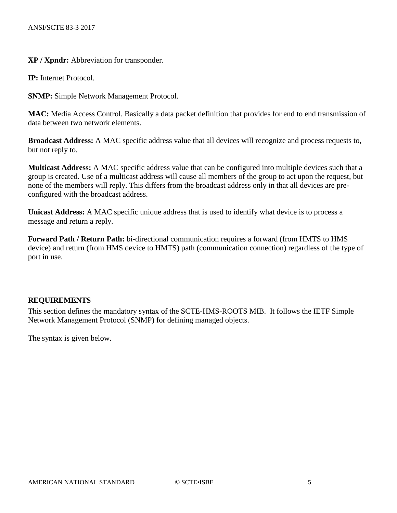**XP / Xpndr:** Abbreviation for transponder.

**IP:** Internet Protocol.

**SNMP:** Simple Network Management Protocol.

**MAC:** Media Access Control. Basically a data packet definition that provides for end to end transmission of data between two network elements.

**Broadcast Address:** A MAC specific address value that all devices will recognize and process requests to, but not reply to.

**Multicast Address:** A MAC specific address value that can be configured into multiple devices such that a group is created. Use of a multicast address will cause all members of the group to act upon the request, but none of the members will reply. This differs from the broadcast address only in that all devices are preconfigured with the broadcast address.

**Unicast Address:** A MAC specific unique address that is used to identify what device is to process a message and return a reply.

**Forward Path / Return Path:** bi-directional communication requires a forward (from HMTS to HMS device) and return (from HMS device to HMTS) path (communication connection) regardless of the type of port in use.

## <span id="page-4-0"></span>**REQUIREMENTS**

This section defines the mandatory syntax of the SCTE-HMS-ROOTS MIB. It follows the IETF Simple Network Management Protocol (SNMP) for defining managed objects.

The syntax is given below.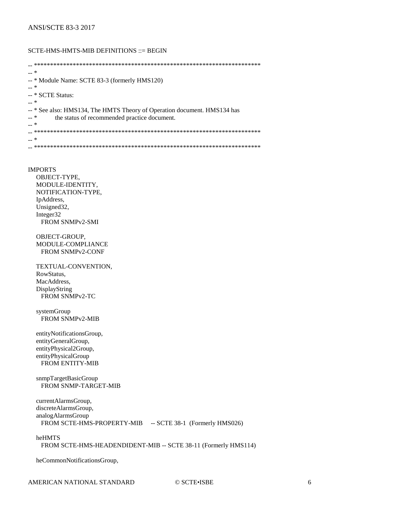#### SCTE-HMS-HMTS-MIB DEFINITIONS ::= BEGIN

-- \*\*\*\*\*\*\*\*\*\*\*\*\*\*\*\*\*\*\*\*\*\*\*\*\*\*\*\*\*\*\*\*\*\*\*\*\*\*\*\*\*\*\*\*\*\*\*\*\*\*\*\*\*\*\*\*\*\*\*\*\*\*\*\*\*\*\*\*\*\* -- \* -- \* Module Name: SCTE 83-3 (formerly HMS120)  $-$  \* -- \* SCTE Status: -- \* -- \* See also: HMS134, The HMTS Theory of Operation document. HMS134 has<br>-- \* the status of recommended practice document the status of recommended practice document. -- \* -- \*\*\*\*\*\*\*\*\*\*\*\*\*\*\*\*\*\*\*\*\*\*\*\*\*\*\*\*\*\*\*\*\*\*\*\*\*\*\*\*\*\*\*\*\*\*\*\*\*\*\*\*\*\*\*\*\*\*\*\*\*\*\*\*\*\*\*\*\*\* -- \* -- \*\*\*\*\*\*\*\*\*\*\*\*\*\*\*\*\*\*\*\*\*\*\*\*\*\*\*\*\*\*\*\*\*\*\*\*\*\*\*\*\*\*\*\*\*\*\*\*\*\*\*\*\*\*\*\*\*\*\*\*\*\*\*\*\*\*\*\*\*\*

#### IMPORTS

 OBJECT-TYPE, MODULE-IDENTITY, NOTIFICATION-TYPE, IpAddress, Unsigned32, Integer32 FROM SNMPv2-SMI

 OBJECT-GROUP, MODULE-COMPLIANCE FROM SNMPv2-CONF

 TEXTUAL-CONVENTION, RowStatus, MacAddress, DisplayString FROM SNMPv2-TC

 systemGroup FROM SNMPv2-MIB

 entityNotificationsGroup, entityGeneralGroup, entityPhysical2Group, entityPhysicalGroup FROM ENTITY-MIB

 snmpTargetBasicGroup FROM SNMP-TARGET-MIB

 currentAlarmsGroup, discreteAlarmsGroup, analogAlarmsGroup FROM SCTE-HMS-PROPERTY-MIB -- SCTE 38-1 (Formerly HMS026)

#### heHMTS

FROM SCTE-HMS-HEADENDIDENT-MIB -- SCTE 38-11 (Formerly HMS114)

heCommonNotificationsGroup,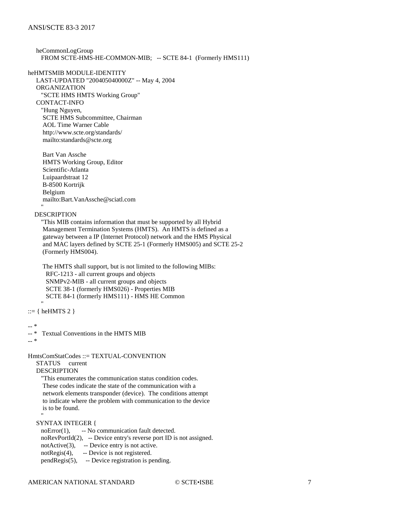```
 heCommonLogGroup
  FROM SCTE-HMS-HE-COMMON-MIB; -- SCTE 84-1 (Formerly HMS111)
```
heHMTSMIB MODULE-IDENTITY LAST-UPDATED "200405040000Z" -- May 4, 2004 ORGANIZATION "SCTE HMS HMTS Working Group" CONTACT-INFO "Hung Nguyen, SCTE HMS Subcommittee, Chairman AOL Time Warner Cable http://www.scte.org/standards/ mailto:standards@scte.org

 Bart Van Assche HMTS Working Group, Editor Scientific-Atlanta Luipaardstraat 12 B-8500 Kortrijk Belgium mailto:Bart.VanAssche@sciatl.com "" ""

#### DESCRIPTION

 "This MIB contains information that must be supported by all Hybrid Management Termination Systems (HMTS). An HMTS is defined as a gateway between a IP (Internet Protocol) network and the HMS Physical and MAC layers defined by SCTE 25-1 (Formerly HMS005) and SCTE 25-2 (Formerly HMS004).

 The HMTS shall support, but is not limited to the following MIBs: RFC-1213 - all current groups and objects SNMPv2-MIB - all current groups and objects SCTE 38-1 (formerly HMS026) - Properties MIB SCTE 84-1 (formerly HMS111) - HMS HE Common

 $::= \{ \text{heHMTS 2 } \}$ 

-- \*

"" ""

```
-- * Textual Conventions in the HMTS MIB
```
-- \*

"" ""

HmtsComStatCodes ::= TEXTUAL-CONVENTION

 STATUS current DESCRIPTION

> "This enumerates the communication status condition codes. These codes indicate the state of the communication with a network elements transponder (device). The conditions attempt to indicate where the problem with communication to the device is to be found.

#### SYNTAX INTEGER {

noError(1), -- No communication fault detected. noRevPortId(2), -- Device entry's reverse port ID is not assigned. notActive(3), -- Device entry is not active. notRegis(4), -- Device is not registered. pendRegis(5), -- Device registration is pending.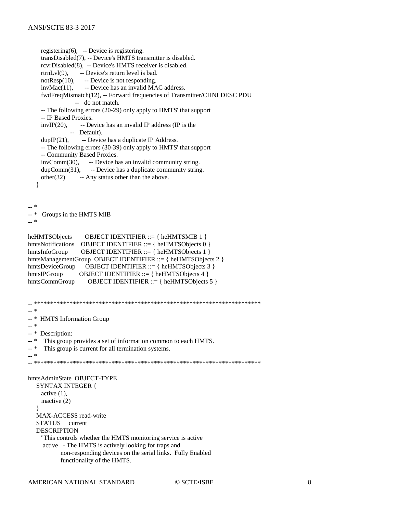```
registering(6), -- Device is registering.
     transDisabled(7), -- Device's HMTS transmitter is disabled.
     rcvrDisabled(8), -- Device's HMTS receiver is disabled.
    rtrnLvl(9), -- Device's return level is bad.
    notResp(10), -- Device is not responding.
    invMac(11), -- Device has an invalid MAC address.
     fwdFreqMismatch(12), -- Forward frequencies of Transmitter/CHNLDESC PDU
                 -- do not match.
     -- The following errors (20-29) only apply to HMTS' that support
     -- IP Based Proxies.
    invIP(20), -- Device has an invalid IP address (IP is the
               -- Default).
    dupIP(21), -- Device has a duplicate IP Address.
     -- The following errors (30-39) only apply to HMTS' that support
     -- Community Based Proxies.
     invComm(30), -- Device has an invalid community string.
    dupComm(31), -- Device has a duplicate community string.
    other(32) -- Any status other than the above.
    }
-- *
-- * Groups in the HMTS MIB
-- *
heHMTSObjects OBJECT IDENTIFIER ::= { heHMTSMIB 1 }
hmtsNotifications OBJECT IDENTIFIER ::= { heHMTSObjects 0 }
hmtsInfoGroup OBJECT IDENTIFIER ::= { heHMTSObjects 1 }
hmtsManagementGroup OBJECT IDENTIFIER ::= { heHMTSObjects 2 }
hmtsDeviceGroup OBJECT IDENTIFIER ::= { heHMTSObjects 3 }
hmtsIPGroup OBJECT IDENTIFIER ::= { heHMTSObjects 4 }
hmtsCommGroup OBJECT IDENTIFIER ::= { heHMTSObjects 5 }
-- **********************************************************************
-- *
-- * HMTS Information Group
-- *
-- * Description:
-- * This group provides a set of information common to each HMTS.
-- * This group is current for all termination systems.
-- *
-- **********************************************************************
hmtsAdminState OBJECT-TYPE
   SYNTAX INTEGER {
     active (1),
     inactive (2)
 }
   MAX-ACCESS read-write
   STATUS current
   DESCRIPTION
     "This controls whether the HMTS monitoring service is active
      active - The HMTS is actively looking for traps and
            non-responding devices on the serial links. Fully Enabled
            functionality of the HMTS.
```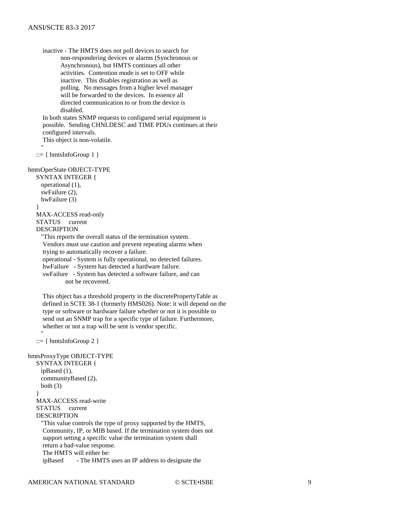inactive - The HMTS does not poll devices to search for non-respondering devices or alarms (Synchronous or Asynchronous), but HMTS continues all other activities. Contention mode is set to OFF while inactive. This disables registration as well as polling. No messages from a higher level manager will be forwarded to the devices. In essence all directed communication to or from the device is disabled.

 In both states SNMP requests to configured serial equipment is possible. Sending CHNLDESC and TIME PDUs continues at their configured intervals.

This object is non-volatile.

 $::= \{ hmtsInfoGroup 1 \}$ 

"" ""

```
hmtsOperState OBJECT-TYPE
```
 SYNTAX INTEGER { operational (1), swFailure (2), hwFailure (3) } MAX-ACCESS read-only STATUS current DESCRIPTION "This reports the overall status of the termination system.

 Vendors must use caution and prevent repeating alarms when trying to automatically recover a failure.

operational - System is fully operational, no detected failures.

hwFailure - System has detected a hardware failure.

 swFailure - System has detected a software failure, and can not be recovered.

 This object has a threshold property in the discretePropertyTable as defined in SCTE 38-1 (formerly HMS026). Note: it will depend on the type or software or hardware failure whether or not it is possible to send out an SNMP trap for a specific type of failure. Furthermore, whether or not a trap will be sent is vendor specific.

 $::= { hmtsInfoGroup 2 }$ 

"" ""

hmtsProxyType OBJECT-TYPE SYNTAX INTEGER { ipBased (1), communityBased (2), both  $(3)$  } MAX-ACCESS read-write STATUS current DESCRIPTION "This value controls the type of proxy supported by the HMTS, Community, IP, or MIB based. If the termination system does not support setting a specific value the termination system shall return a bad-value response. The HMTS will either be: ipBased - The HMTS uses an IP address to designate the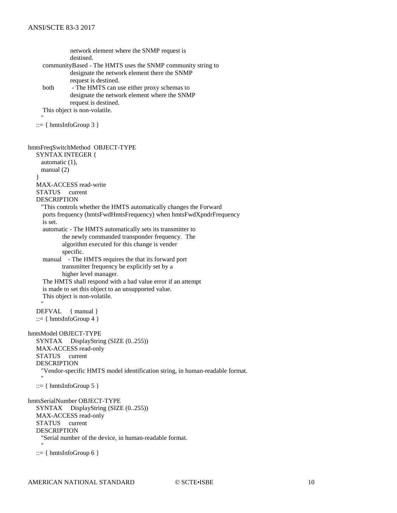network element where the SNMP request is destined. communityBased - The HMTS uses the SNMP community string to designate the network element there the SNMP request is destined. both - The HMTS can use either proxy schemas to designate the network element where the SNMP request is destined. This object is non-volatile. "" ""  $::= \{ hmtsInfoGroup 3 \}$ hmtsFreqSwitchMethod OBJECT-TYPE SYNTAX INTEGER { automatic (1), manual (2) } MAX-ACCESS read-write STATUS current DESCRIPTION "This controls whether the HMTS automatically changes the Forward ports frequency (hmtsFwdHmtsFrequency) when hmtsFwdXpndrFrequency is set. automatic - The HMTS automatically sets its transmitter to the newly commanded transponder frequency. The algorithm executed for this change is vender specific. manual - The HMTS requires the that its forward port transmitter frequency be explicitly set by a higher level manager. The HMTS shall respond with a bad value error if an attempt is made to set this object to an unsupported value. This object is non-volatile. "" "" DEFVAL { manual }  $::= \{ hmtsInfoGroup 4 \}$ hmtsModel OBJECT-TYPE SYNTAX DisplayString (SIZE (0..255)) MAX-ACCESS read-only STATUS current DESCRIPTION "Vendor-specific HMTS model identification string, in human-readable format. "" ""  $::= \{ hmtsInfoGroup 5 \}$ hmtsSerialNumber OBJECT-TYPE SYNTAX DisplayString (SIZE (0..255)) MAX-ACCESS read-only STATUS current DESCRIPTION "Serial number of the device, in human-readable format. "" ""  $::= \{ hmtsInfoGroup\ 6 \}$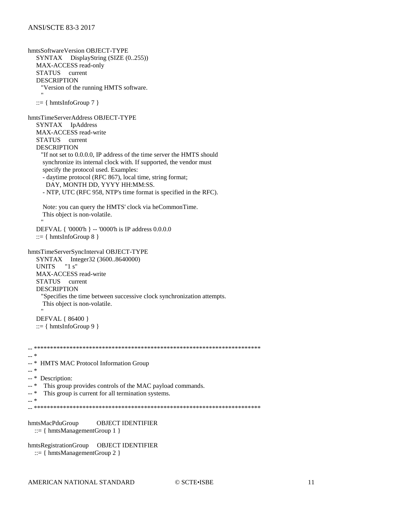hmtsSoftwareVersion OBJECT-TYPE  $SYNTAX$  DisplayString (SIZE  $(0..255)$ ) MAX-ACCESS read-only STATUS current **DESCRIPTION** "Version of the running HMTS software.  $::= \{ hmtsInfoGroup 7 \}$ hmtsTimeServerAddress OBJECT-TYPE SYNTAX IpAddress MAX-ACCESS read-write STATUS current **DESCRIPTION** "If not set to 0.0.0.0, IP address of the time server the HMTS should synchronize its internal clock with. If supported, the vendor must specify the protocol used. Examples: - daytime protocol (RFC 867), local time, string format; DAY, MONTH DD, YYYY HH:MM:SS. - NTP, UTC (RFC 958, NTP's time format is specified in the RFC). Note: you can query the HMTS' clock via heCommonTime. This object is non-volatile. DEFVAL { '0000'h } -- '0000'h is IP address 0.0.0.0  $::= \{ hmtsInfoGroup 8 \}$ hmtsTimeServerSyncInterval OBJECT-TYPE SYNTAX Integer32 (3600..8640000) " $1 s$ " **UNITS** MAX-ACCESS read-write STATUS current **DESCRIPTION** "Specifies the time between successive clock synchronization attempts. This object is non-volatile. DEFVAL { 86400 }  $::= \{ hmtsInfoGroup\ 9 \}$  $\ast$  $\sim$  $\mathbb{L}^*$  \* HMTS MAC Protocol Information Group  $-$  \* -- \* Description: This group provides controls of the MAC payload commands.  $- *$ This group is current for all termination systems.  $\sim$ hmtsMacPduGroup **OBJECT IDENTIFIER**  $::= \{ hmtsManagermentGroup 1 \}$ hmtsRegistrationGroup OBJECT IDENTIFIER  $::= \{ hmtsManagermentGroup 2 \}$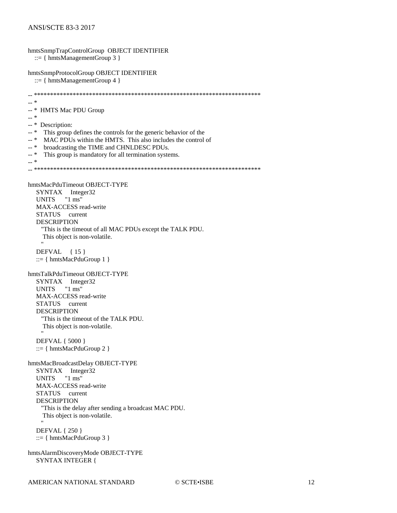hmtsSnmpTrapControlGroup OBJECT IDENTIFIER  $::= \{ hmtsManagermentGroup 3 \}$ hmtsSnmpProtocolGroup OBJECT IDENTIFIER  $::= \{ hmtsManagermentGroup 4 \}$  $\overline{a}$   $\overline{a}$   $\overline{a}$  $-$  \* HMTS Mac PDU Group  $-$  \* -- \* Description:  $-$ \* This group defines the controls for the generic behavior of the  $_{--}$   $\ast$ MAC PDUs within the HMTS. This also includes the control of  $\overline{a}$  \* broadcasting the TIME and CHNLDESC PDUs.  $-$ \* This group is mandatory for all termination systems.  $-$  \* hmtsMacPduTimeout OBJECT-TYPE SYNTAX Integer32  $"1 ms"$ **UNITS** MAX-ACCESS read-write STATUS current **DESCRIPTION** "This is the timeout of all MAC PDUs except the TALK PDU. This object is non-volatile. DEFVAL {15}  $::= \{ hmtsMacPduGroup 1 \}$ hmtsTalkPduTimeout OBJECT-TYPE SYNTAX Integer32 **UNITS**  $"1 ms"$ MAX-ACCESS read-write STATUS current **DESCRIPTION** "This is the timeout of the TALK PDU. This object is non-volatile. **DEFVAL** { 5000 }  $::= \{ hmtsMacPduGroup 2 \}$ hmtsMacBroadcastDelay OBJECT-TYPE SYNTAX Integer32 " $1 \text{ ms}$ " **UNITS** MAX-ACCESS read-write STATUS current **DESCRIPTION** "This is the delay after sending a broadcast MAC PDU. This object is non-volatile. **DEFVAL** { 250 }  $::= \{ hmtsMacPduGroup 3 \}$ hmtsAlarmDiscoveryMode OBJECT-TYPE **SYNTAX INTEGER {**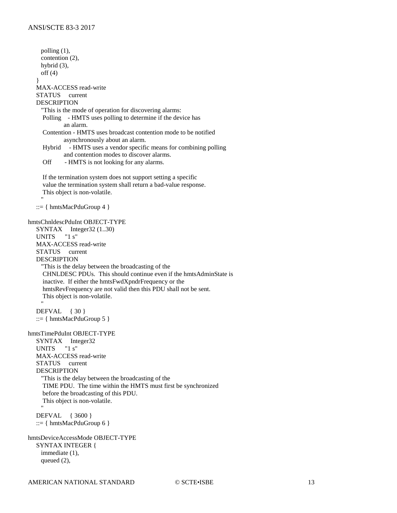polling (1), contention (2), hybrid (3), off (4) } MAX-ACCESS read-write STATUS current DESCRIPTION "This is the mode of operation for discovering alarms: Polling - HMTS uses polling to determine if the device has an alarm. Contention - HMTS uses broadcast contention mode to be notified asynchronously about an alarm. Hybrid - HMTS uses a vendor specific means for combining polling and contention modes to discover alarms. Off - HMTS is not looking for any alarms. If the termination system does not support setting a specific value the termination system shall return a bad-value response. This object is non-volatile. "" "" ::= { hmtsMacPduGroup 4 } hmtsChnldescPduInt OBJECT-TYPE SYNTAX Integer32 (1..30) UNITS "1 s" MAX-ACCESS read-write STATUS current DESCRIPTION "This is the delay between the broadcasting of the CHNLDESC PDUs. This should continue even if the hmtsAdminState is inactive. If either the hmtsFwdXpndrFrequency or the hmtsRevFrequency are not valid then this PDU shall not be sent. This object is non-volatile. "" "" DEFVAL { 30 } ::= { hmtsMacPduGroup 5 } hmtsTimePduInt OBJECT-TYPE SYNTAX Integer32<br>UNITS "1 s" UNITS MAX-ACCESS read-write STATUS current DESCRIPTION "This is the delay between the broadcasting of the TIME PDU. The time within the HMTS must first be synchronized before the broadcasting of this PDU. This object is non-volatile. "" "" DEFVAL { 3600 } ::=  $\{ hmtsMacPduGroup 6 \}$ hmtsDeviceAccessMode OBJECT-TYPE SYNTAX INTEGER { immediate (1), queued (2),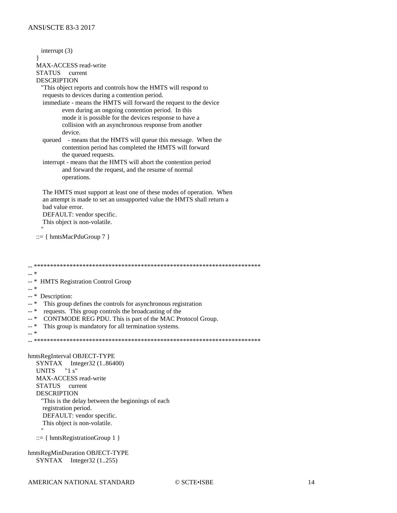interrupt $(3)$ MAX-ACCESS read-write STATUS current **DESCRIPTION** "This object reports and controls how the HMTS will respond to requests to devices during a contention period. immediate - means the HMTS will forward the request to the device even during an ongoing contention period. In this mode it is possible for the devices response to have a collision with an asynchronous response from another device. queued - means that the HMTS will queue this message. When the contention period has completed the HMTS will forward the queued requests. interrupt - means that the HMTS will abort the contention period and forward the request, and the resume of normal operations. The HMTS must support at least one of these modes of operation. When an attempt is made to set an unsupported value the HMTS shall return a bad value error. DEFAULT: vendor specific. This object is non-volatile.  $::= \{ hmtsMacPduGroup 7 \}$  $-$  \*  $\overline{a}$   $\overline{a}$   $\overline{a}$ **HMTS Registration Control Group**  $_{++}$   $\ast$  $\overline{\phantom{a}}$  \* Description:  $- *$ This group defines the controls for asynchronous registration  $- *$ requests. This group controls the broadcasting of the CONTMODE REG PDU. This is part of the MAC Protocol Group.  $- *$  $\overline{a}$  \* This group is mandatory for all termination systems.  $\overline{a}$  \* hmtsRegInterval OBJECT-TYPE SYNTAX Integer32 (1.86400) " $1 s$ " **UNITS** MAX-ACCESS read-write STATUS current **DESCRIPTION** "This is the delay between the beginnings of each registration period. DEFAULT: vendor specific. This object is non-volatile.  $::= \{ hmtsRegionGroup 1 \}$ hmtsRegMinDuration OBJECT-TYPE  $SYNTAX$  Integer32 (1..255)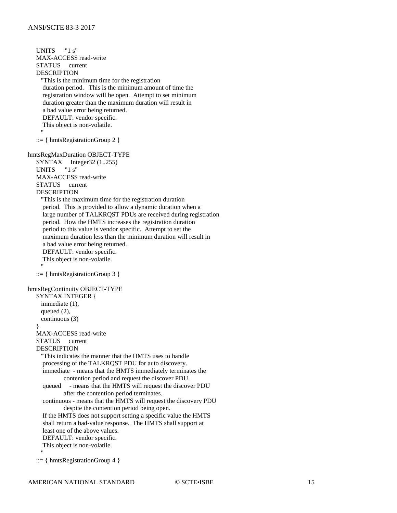UNITS "1 s" MAX-ACCESS read-write STATUS current DESCRIPTION "This is the minimum time for the registration duration period. This is the minimum amount of time the registration window will be open. Attempt to set minimum duration greater than the maximum duration will result in a bad value error being returned. DEFAULT: vendor specific. This object is non-volatile. "" "" ::= { hmtsRegistrationGroup 2 } hmtsRegMaxDuration OBJECT-TYPE SYNTAX Integer32  $(1..255)$ <br>UNITS  $"1\text{ s}"$ **UNITS**  MAX-ACCESS read-write STATUS current DESCRIPTION "This is the maximum time for the registration duration period. This is provided to allow a dynamic duration when a large number of TALKRQST PDUs are received during registration period. How the HMTS increases the registration duration period to this value is vendor specific. Attempt to set the maximum duration less than the minimum duration will result in a bad value error being returned. DEFAULT: vendor specific. This object is non-volatile. "" "" ::= { hmtsRegistrationGroup 3 } hmtsRegContinuity OBJECT-TYPE SYNTAX INTEGER { immediate (1), queued  $(2)$ , continuous (3) } MAX-ACCESS read-write STATUS current DESCRIPTION "This indicates the manner that the HMTS uses to handle processing of the TALKRQST PDU for auto discovery. immediate - means that the HMTS immediately terminates the contention period and request the discover PDU. queued - means that the HMTS will request the discover PDU after the contention period terminates. continuous - means that the HMTS will request the discovery PDU despite the contention period being open. If the HMTS does not support setting a specific value the HMTS shall return a bad-value response. The HMTS shall support at least one of the above values. DEFAULT: vendor specific. This object is non-volatile. "" ""

```
::= { hmtsRegistrationGroup 4 }
```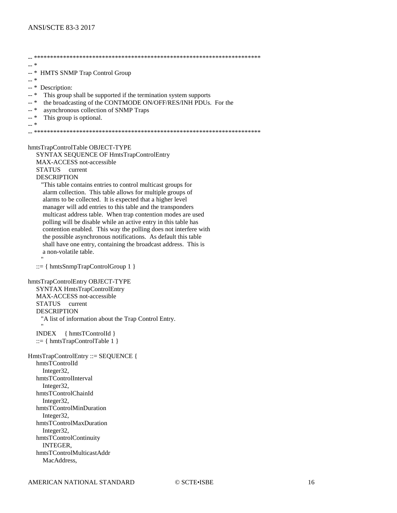$\ast$  $\mathbb{Z}^{\mathbb{Z}}$  $-$  \* HMTS SNMP Trap Control Group  $-$  \* -- \* Description:  $-$  \* This group shall be supported if the termination system supports the broadcasting of the CONTMODE ON/OFF/RES/INH PDUs. For the  $-$ \*  $\overline{a}$  \* asynchronous collection of SNMP Traps  $_{\perp\perp}$   $\ast$ This group is optional.  $\overline{a}$   $\overline{a}$   $\overline{a}$ hmtsTrapControlTable OBJECT-TYPE SYNTAX SEQUENCE OF HmtsTrapControlEntry MAX-ACCESS not-accessible **STATUS** current **DESCRIPTION** "This table contains entries to control multicast groups for alarm collection. This table allows for multiple groups of alarms to be collected. It is expected that a higher level manager will add entries to this table and the transponders multicast address table. When trap contention modes are used polling will be disable while an active entry in this table has contention enabled. This way the polling does not interfere with the possible asynchronous notifications. As default this table shall have one entry, containing the broadcast address. This is a non-volatile table.  $::= \{ hmtsSnmpTrapControlGroup 1 \}$ hmtsTrapControlEntry OBJECT-TYPE **SYNTAX HmtsTrapControlEntry** MAX-ACCESS not-accessible **STATUS** current **DESCRIPTION** "A list of information about the Trap Control Entry. INDEX { hmtsTControlId }  $::= \{ hintsTrapControlTable 1 \}$ HmtsTrapControlEntry ::= SEQUENCE { hmtsTControlId Integer32, hmtsTControlInterval Integer32. hmtsTControlChainId Integer32, hmtsTControlMinDuration Integer32. hmtsTControlMaxDuration Integer32, hmtsTControlContinuity **INTEGER.** hmtsTControlMulticastAddr MacAddress.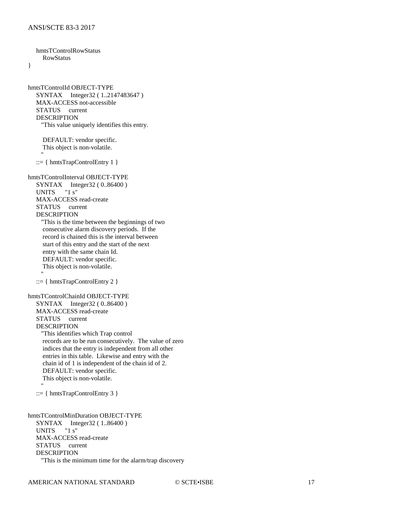hmtsTControlRowStatus RowStatus } hmtsTControlId OBJECT-TYPE SYNTAX Integer32 (1..2147483647) MAX-ACCESS not-accessible STATUS current DESCRIPTION "This value uniquely identifies this entry. DEFAULT: vendor specific. This object is non-volatile. "" "" ::=  $\{ hmtsTrapControlEntry 1 \}$ hmtsTControlInterval OBJECT-TYPE SYNTAX Integer32 ( 0..86400 ) UNITS "1 s" MAX-ACCESS read-create STATUS current DESCRIPTION "This is the time between the beginnings of two consecutive alarm discovery periods. If the record is chained this is the interval between start of this entry and the start of the next entry with the same chain Id. DEFAULT: vendor specific. This object is non-volatile. "" "" ::= { hmtsTrapControlEntry 2 } hmtsTControlChainId OBJECT-TYPE SYNTAX Integer32 ( 0..86400 ) MAX-ACCESS read-create STATUS current DESCRIPTION "This identifies which Trap control records are to be run consecutively. The value of zero indices that the entry is independent from all other entries in this table. Likewise and entry with the chain id of 1 is independent of the chain id of 2. DEFAULT: vendor specific. This object is non-volatile. "" "" ::= { hmtsTrapControlEntry 3 } hmtsTControlMinDuration OBJECT-TYPE SYNTAX Integer32 (1..86400)<br>UNITS "1 s" UNITS MAX-ACCESS read-create STATUS current DESCRIPTION "This is the minimum time for the alarm/trap discovery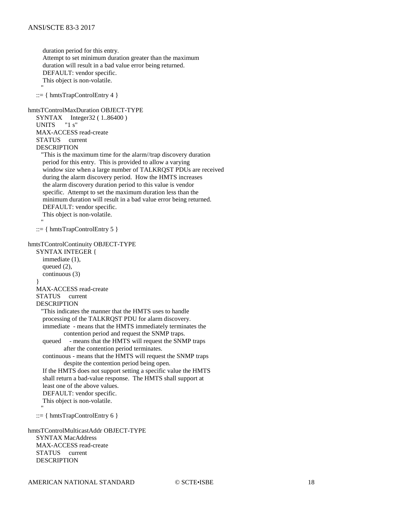duration period for this entry. Attempt to set minimum duration greater than the maximum duration will result in a bad value error being returned. DEFAULT: vendor specific. This object is non-volatile. "" "" ::= { hmtsTrapControlEntry 4 } hmtsTControlMaxDuration OBJECT-TYPE SYNTAX Integer32 ( 1..86400 ) UNITS "1 s" MAX-ACCESS read-create STATUS current DESCRIPTION "This is the maximum time for the alarm//trap discovery duration period for this entry. This is provided to allow a varying window size when a large number of TALKRQST PDUs are received during the alarm discovery period. How the HMTS increases the alarm discovery duration period to this value is vendor specific. Attempt to set the maximum duration less than the minimum duration will result in a bad value error being returned. DEFAULT: vendor specific. This object is non-volatile. "" "" ::= { hmtsTrapControlEntry 5 } hmtsTControlContinuity OBJECT-TYPE SYNTAX INTEGER { immediate (1), queued  $(2)$ , continuous (3) } MAX-ACCESS read-create STATUS current DESCRIPTION "This indicates the manner that the HMTS uses to handle processing of the TALKRQST PDU for alarm discovery. immediate - means that the HMTS immediately terminates the contention period and request the SNMP traps. queued - means that the HMTS will request the SNMP traps after the contention period terminates. continuous - means that the HMTS will request the SNMP traps despite the contention period being open. If the HMTS does not support setting a specific value the HMTS shall return a bad-value response. The HMTS shall support at least one of the above values. DEFAULT: vendor specific. This object is non-volatile. "" "" ::=  $\{ hmtsTrapControlEntry 6 \}$ hmtsTControlMulticastAddr OBJECT-TYPE

 SYNTAX MacAddress MAX-ACCESS read-create STATUS current DESCRIPTION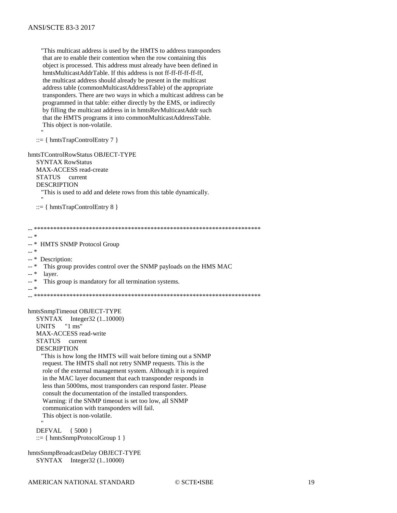"This multicast address is used by the HMTS to address transponders that are to enable their contention when the row containing this object is processed. This address must already have been defined in hmtsMulticastAddrTable. If this address is not ff-ff-ff-ff-ff-ff. the multicast address should already be present in the multicast address table (commonMulticastAddressTable) of the appropriate transponders. There are two ways in which a multicast address can be programmed in that table: either directly by the EMS, or indirectly by filling the multicast address in in hmtsRevMulticastAddr such that the HMTS programs it into commonMulticastAddressTable. This object is non-volatile.

 $::= \{ hintsTrapControlEntry 7 \}$ 

hmtsTControlRowStatus OBJECT-TYPE **SYNTAX RowStatus** MAX-ACCESS read-create **STATUS** current **DESCRIPTION** "This is used to add and delete rows from this table dynamically.  $::= \{ hintsTrapControlEntry 8 \}$ 

 $\omega\omega$  $- *$ **HMTS SNMP Protocol Group**  $_{--}$   $\ast$ -- \* Description: -- \* This group provides control over the SNMP payloads on the HMS MAC  $\overline{a}$  \* layer.  $- *$ This group is mandatory for all termination systems.  $\overline{a}$  \* hmtsSnmpTimeout OBJECT-TYPE  $SYNTAX$  Integer32 (1..10000) " $1 \text{ ms}$ " **UNITS** MAX-ACCESS read-write STATUS current **DESCRIPTION** "This is how long the HMTS will wait before timing out a SNMP request. The HMTS shall not retry SNMP requests. This is the role of the external management system. Although it is required in the MAC layer document that each transponder responds in less than 5000ms, most transponders can respond faster. Please consult the documentation of the installed transponders. Warning: if the SNMP timeout is set too low, all SNMP communication with transponders will fail. This object is non-volatile. DEFVAL { 5000 }  $::= \{ hmtsSnmpProtocolGroup 1 \}$ hmtsSnmpBroadcastDelay OBJECT-TYPE  $SYNTAX$  Integer32 (1..10000)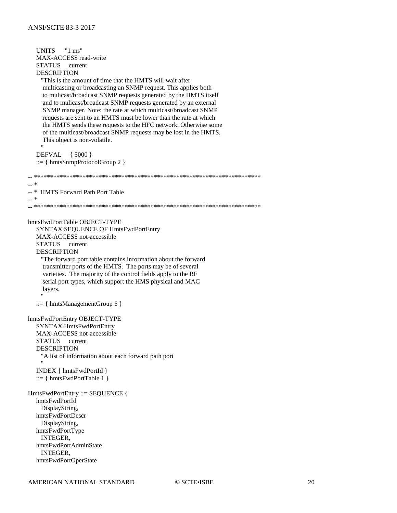**UNITS** " $1 \text{ ms}$ " MAX-ACCESS read-write STATUS current **DESCRIPTION** "This is the amount of time that the HMTS will wait after multicasting or broadcasting an SNMP request. This applies both to mulicast/broadcast SNMP requests generated by the HMTS itself and to mulicast/broadcast SNMP requests generated by an external SNMP manager. Note: the rate at which multicast/broadcast SNMP requests are sent to an HMTS must be lower than the rate at which the HMTS sends these requests to the HFC network. Otherwise some of the multicast/broadcast SNMP requests may be lost in the HMTS. This object is non-volatile. DEFVAL { 5000 }  $::= \{ hmtsSnmpProtocolGroup 2 \}$  $\ast$  $\sim$  $\overline{a}$  \* HMTS Forward Path Port Table  $-$ \* hmtsFwdPortTable OBJECT-TYPE SYNTAX SEQUENCE OF HmtsFwdPortEntry MAX-ACCESS not-accessible STATUS current **DESCRIPTION** "The forward port table contains information about the forward transmitter ports of the HMTS. The ports may be of several varieties. The majority of the control fields apply to the RF serial port types, which support the HMS physical and MAC layers.  $::= \{ hmtsManagermentGroup 5 \}$ hmtsFwdPortEntry OBJECT-TYPE **SYNTAX HmtsFwdPortEntry** MAX-ACCESS not-accessible **STATUS** current **DESCRIPTION** "A list of information about each forward path port INDEX { hmtsFwdPortId }  $::= \{ hintsFwdPortTable 1 \}$ HmtsFwdPortEntry ::= SEQUENCE { hmtsFwdPortId DisplayString, hmtsFwdPortDescr DisplayString, hmtsFwdPortType **INTEGER.** hmtsFwdPortAdminState INTEGER, hmtsFwdPortOperState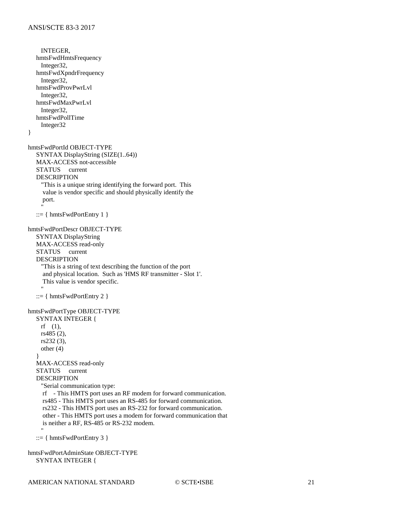INTEGER, hmtsFwdHmtsFrequency Integer32, hmtsFwdXpndrFrequency Integer32, hmtsFwdProvPwrLvl Integer32, hmtsFwdMaxPwrLvl Integer32, hmtsFwdPollTime Integer32 } hmtsFwdPortId OBJECT-TYPE SYNTAX DisplayString (SIZE(1..64)) MAX-ACCESS not-accessible STATUS current DESCRIPTION "This is a unique string identifying the forward port. This value is vendor specific and should physically identify the port. "" ""  $::= { hmtsFwdPortEntry 1 }$ hmtsFwdPortDescr OBJECT-TYPE SYNTAX DisplayString MAX-ACCESS read-only STATUS current DESCRIPTION "This is a string of text describing the function of the port and physical location. Such as 'HMS RF transmitter - Slot 1'. This value is vendor specific. "" ""  $::= { hmtsFwdPortEntry 2 }$ hmtsFwdPortType OBJECT-TYPE SYNTAX INTEGER { rf (1), rs485 (2), rs232 (3), other (4) } MAX-ACCESS read-only STATUS current DESCRIPTION "Serial communication type: rf - This HMTS port uses an RF modem for forward communication. rs485 - This HMTS port uses an RS-485 for forward communication. rs232 - This HMTS port uses an RS-232 for forward communication. other - This HMTS port uses a modem for forward communication that is neither a RF, RS-485 or RS-232 modem. "" ""  $::= { hmtsFwdPortEntry 3 }$ hmtsFwdPortAdminState OBJECT-TYPE SYNTAX INTEGER {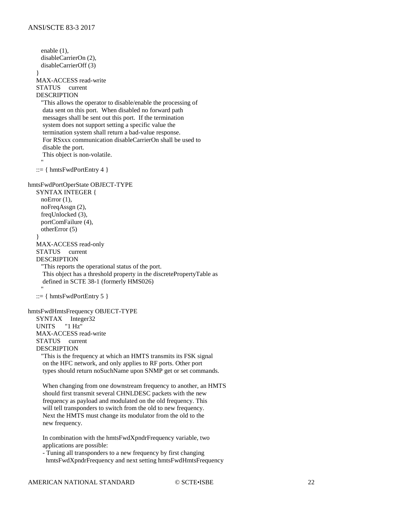enable (1), disableCarrierOn (2), disableCarrierOff (3) } MAX-ACCESS read-write STATUS current DESCRIPTION "This allows the operator to disable/enable the processing of data sent on this port. When disabled no forward path messages shall be sent out this port. If the termination system does not support setting a specific value the termination system shall return a bad-value response. For RSxxx communication disableCarrierOn shall be used to disable the port. This object is non-volatile. "" ""  $::= \{ hintsFwdPortEntry 4 \}$ hmtsFwdPortOperState OBJECT-TYPE SYNTAX INTEGER {  $noError(1)$ , noFreqAssgn (2), freqUnlocked (3), portComFailure (4), otherError (5) } MAX-ACCESS read-only STATUS current DESCRIPTION "This reports the operational status of the port. This object has a threshold property in the discretePropertyTable as defined in SCTE 38-1 (formerly HMS026) "" ""  $::= { hmtsFwdPortEntry 5 }$ hmtsFwdHmtsFrequency OBJECT-TYPE SYNTAX Integer32 UNITS "1 Hz" MAX-ACCESS read-write STATUS current DESCRIPTION "This is the frequency at which an HMTS transmits its FSK signal on the HFC network, and only applies to RF ports. Other port types should return noSuchName upon SNMP get or set commands. When changing from one downstream frequency to another, an HMTS should first transmit several CHNLDESC packets with the new frequency as payload and modulated on the old frequency. This will tell transponders to switch from the old to new frequency. Next the HMTS must change its modulator from the old to the new frequency. In combination with the hmtsFwdXpndrFrequency variable, two applications are possible:

 - Tuning all transponders to a new frequency by first changing hmtsFwdXpndrFrequency and next setting hmtsFwdHmtsFrequency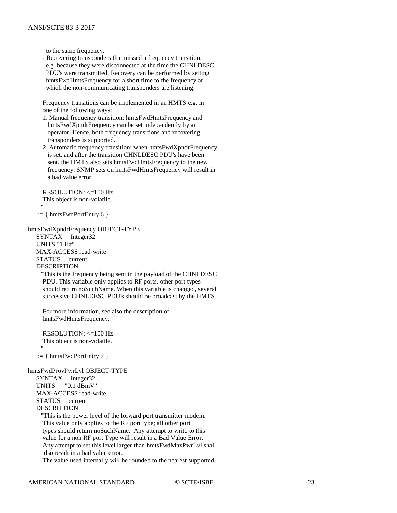to the same frequency.

 - Recovering transponders that missed a frequency transition, e.g. because they were disconnected at the time the CHNLDESC PDU's were transmitted. Recovery can be performed by setting hmtsFwdHmtsFrequency for a short time to the frequency at which the non-communicating transponders are listening.

 Frequency transitions can be implemented in an HMTS e.g. in one of the following ways:

- 1. Manual frequency transition: hmtsFwdHmtsFrequency and hmtsFwdXpndrFrequency can be set independently by an operator. Hence, both frequency transitions and recovering transponders is supported.
- 2. Automatic frequency transition: when hmtsFwdXpndrFrequency is set, and after the transition CHNLDESC PDU's have been sent, the HMTS also sets hmtsFwdHmtsFrequency to the new frequency. SNMP sets on hmtsFwdHmtsFrequency will result in a bad value error.

 RESOLUTION: <=100 Hz This object is non-volatile. "" ""

 $::= \{ hintsFwdPortEntry 6 \}$ 

hmtsFwdXpndrFrequency OBJECT-TYPE SYNTAX Integer32 UNITS "1 Hz" MAX-ACCESS read-write STATUS current DESCRIPTION

> "This is the frequency being sent in the payload of the CHNLDESC PDU. This variable only applies to RF ports, other port types should return noSuchName. When this variable is changed, several successive CHNLDESC PDU's should be broadcast by the HMTS.

 For more information, see also the description of hmtsFwdHmtsFrequency.

 RESOLUTION: <=100 Hz This object is non-volatile. "" ""

::=  $\{ hmtsFwdPortEntry 7 \}$ 

#### hmtsFwdProvPwrLvl OBJECT-TYPE

 SYNTAX Integer32 UNITS "0.1 dBmV" MAX-ACCESS read-write STATUS current DESCRIPTION

 "This is the power level of the forward port transmitter modem. This value only applies to the RF port type; all other port types should return noSuchName. Any attempt to write to this value for a non RF port Type will result in a Bad Value Error. Any attempt to set this level larger than hmtsFwdMaxPwrLvl shall also result in a bad value error. The value used internally will be rounded to the nearest supported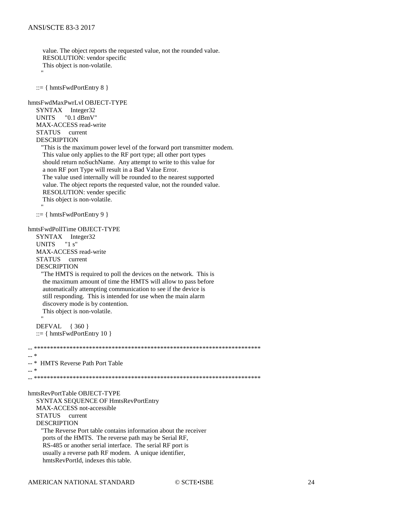value. The object reports the requested value, not the rounded value. RESOLUTION: vendor specific This object is non-volatile.  $::= \{ hintsFwdPortEntry 8 \}$ hmtsFwdMaxPwrLvl OBJECT-TYPE SYNTAX Integer32  $"0.1$  dBmV" **UNITS** MAX-ACCESS read-write STATUS current **DESCRIPTION** "This is the maximum power level of the forward port transmitter modem. This value only applies to the RF port type; all other port types should return noSuchName. Any attempt to write to this value for a non RF port Type will result in a Bad Value Error. The value used internally will be rounded to the nearest supported value. The object reports the requested value, not the rounded value. RESOLUTION: vender specific This object is non-volatile.  $::= \{ hintsFwdPortEntry 9 \}$ hmtsFwdPollTime OBJECT-TYPE SYNTAX Integer32  $"1s"$ **UNITS** MAX-ACCESS read-write STATUS current **DESCRIPTION** "The HMTS is required to poll the devices on the network. This is the maximum amount of time the HMTS will allow to pass before automatically attempting communication to see if the device is still responding. This is intended for use when the main alarm discovery mode is by contention. This object is non-volatile. DEFVAL  $\{360\}$  $::= \{ hintsFwdPortEntry 10 \}$  $\sim$  \*  $_{--}$   $\ast$ HMTS Reverse Path Port Table  $\overline{a}$  \* hmtsRevPortTable OBJECT-TYPE **SYNTAX SEQUENCE OF HmtsRevPortEntry** MAX-ACCESS not-accessible current **STATUS DESCRIPTION** "The Reverse Port table contains information about the receiver ports of the HMTS. The reverse path may be Serial RF, RS-485 or another serial interface. The serial RF port is usually a reverse path RF modem. A unique identifier, hmtsRevPortId, indexes this table.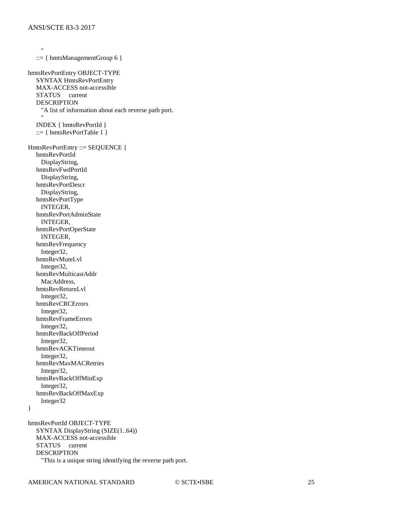"" ""  $::= \{ hmtsManagermentGroup 6 \}$ hmtsRevPortEntry OBJECT-TYPE SYNTAX HmtsRevPortEntry MAX-ACCESS not-accessible STATUS current DESCRIPTION "A list of information about each reverse path port. "" "" INDEX { hmtsRevPortId } ::= { hmtsRevPortTable  $1$  } HmtsRevPortEntry ::= SEQUENCE { hmtsRevPortId DisplayString, hmtsRevFwdPortId DisplayString, hmtsRevPortDescr DisplayString, hmtsRevPortType INTEGER, hmtsRevPortAdminState INTEGER, hmtsRevPortOperState INTEGER, hmtsRevFrequency Integer32, hmtsRevMuteLvl Integer32, hmtsRevMulticastAddr MacAddress, hmtsRevReturnLvl Integer32, hmtsRevCRCErrors Integer32, hmtsRevFrameErrors Integer32, hmtsRevBackOffPeriod Integer32, hmtsRevACKTimeout Integer32, hmtsRevMaxMACRetries Integer32, hmtsRevBackOffMinExp Integer32, hmtsRevBackOffMaxExp Integer32 } hmtsRevPortId OBJECT-TYPE SYNTAX DisplayString (SIZE(1..64))

 MAX-ACCESS not-accessible STATUS current DESCRIPTION "This is a unique string identifying the reverse path port.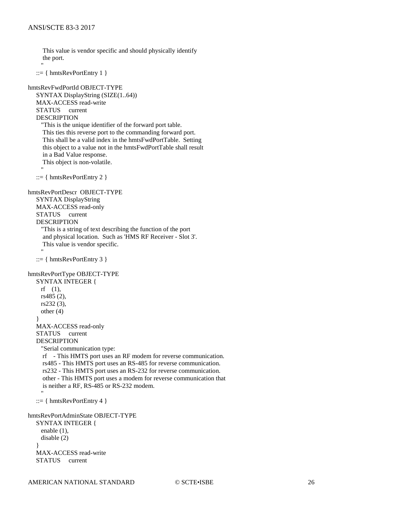This value is vendor specific and should physically identify the port. "" ""

```
 ::= \{ hmtsRevPortEntry 1 \}
```

```
hmtsRevFwdPortId OBJECT-TYPE
   SYNTAX DisplayString (SIZE(1..64))
   MAX-ACCESS read-write
   STATUS current
   DESCRIPTION
     "This is the unique identifier of the forward port table.
      This ties this reverse port to the commanding forward port.
      This shall be a valid index in the hmtsFwdPortTable. Setting
      this object to a value not in the hmtsFwdPortTable shall result
      in a Bad Value response.
      This object is non-volatile.
"" ""
   ::= \{ hmtsRevPortEntry 2 \}hmtsRevPortDescr OBJECT-TYPE
   SYNTAX DisplayString
   MAX-ACCESS read-only
   STATUS current
   DESCRIPTION
     "This is a string of text describing the function of the port
      and physical location. Such as 'HMS RF Receiver - Slot 3'.
      This value is vendor specific.
"" ""
   ::= \{ hmtsRevPortEntry 3 \}hmtsRevPortType OBJECT-TYPE
   SYNTAX INTEGER {
     rf (1),
     rs485 (2),
     rs232 (3),
     other (4)
 }
   MAX-ACCESS read-only
   STATUS current
   DESCRIPTION
     "Serial communication type:
      rf - This HMTS port uses an RF modem for reverse communication.
      rs485 - This HMTS port uses an RS-485 for reverse communication.
      rs232 - This HMTS port uses an RS-232 for reverse communication.
      other - This HMTS port uses a modem for reverse communication that
      is neither a RF, RS-485 or RS-232 modem.
"" ""
   ::= \{ hmtsRevPortEntry 4 \}hmtsRevPortAdminState OBJECT-TYPE
   SYNTAX INTEGER {
     enable (1),
     disable (2)
 }
   MAX-ACCESS read-write
   STATUS current
```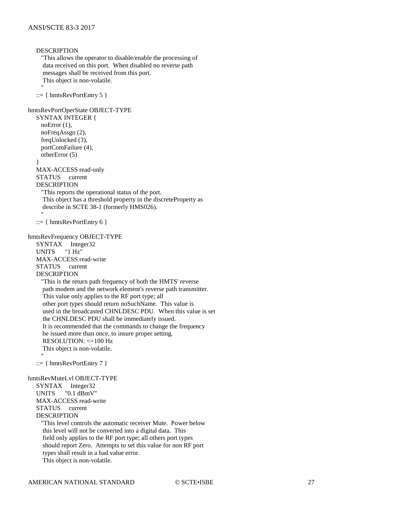```
DESCRIPTION
     "This allows the operator to disable/enable the processing of
      data received on this port. When disabled no reverse path
      messages shall be received from this port.
      This object is non-volatile.
"" ""
   ::= { hmtsRevPortEntry 5 } }hmtsRevPortOperState OBJECT-TYPE
   SYNTAX INTEGER {
     noError (1),
     noFreqAssgn (2),
     freqUnlocked (3),
     portComFailure (4),
     otherError (5)
    }
   MAX-ACCESS read-only
   STATUS current
   DESCRIPTION
      "This reports the operational status of the port.
      This object has a threshold property in the discreteProperty as
      describe in SCTE 38-1 (formerly HMS026).
"" ""
   ::= \{ hintsRevPortEntry 6 \}hmtsRevFrequency OBJECT-TYPE
   SYNTAX Integer32
   UNITS "1 Hz"
   MAX-ACCESS read-write
   STATUS current
   DESCRIPTION
      "This is the return path frequency of both the HMTS' reverse
      path modem and the network element's reverse path transmitter.
      This value only applies to the RF port type; all
      other port types should return noSuchName. This value is
      used in the broadcasted CHNLDESC PDU. When this value is set
      the CHNLDESC PDU shall be immediately issued.
      It is recommended that the commands to change the frequency
      be issued more than once, to insure proper setting.
      RESOLUTION: <=100 Hz
      This object is non-volatile.
"" ""
   ::= { hmtsRevPortEntry 7 }hmtsRevMuteLvl OBJECT-TYPE
   SYNTAX Integer32
   UNITS "0.1 dBmV"
   MAX-ACCESS read-write
   STATUS current
   DESCRIPTION
      "This level controls the automatic receiver Mute. Power below
      this level will not be converted into a digital data. This
      field only applies to the RF port type; all others port types
      should report Zero. Attempts to set this value for non RF port
      types shall result in a bad value error.
      This object is non-volatile.
```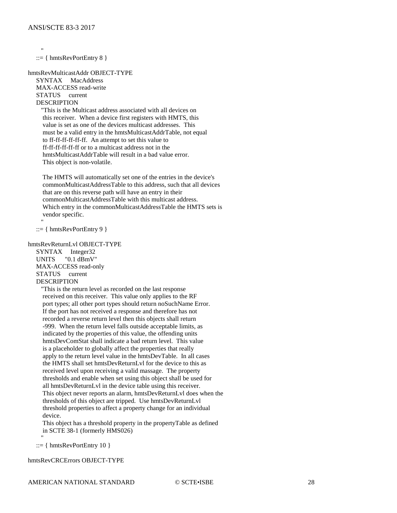"" ""

"" ""

 $::= \{ hintsRevPortEntry 8 \}$ 

hmtsRevMulticastAddr OBJECT-TYPE SYNTAX MacAddress MAX-ACCESS read-write STATUS current DESCRIPTION

 "This is the Multicast address associated with all devices on this receiver. When a device first registers with HMTS, this value is set as one of the devices multicast addresses. This must be a valid entry in the hmtsMulticastAddrTable, not equal to ff-ff-ff-ff-ff-ff. An attempt to set this value to ff-ff-ff-ff-ff-ff or to a multicast address not in the hmtsMulticastAddrTable will result in a bad value error. This object is non-volatile.

 The HMTS will automatically set one of the entries in the device's commonMulticastAddressTable to this address, such that all devices that are on this reverse path will have an entry in their commonMulticastAddressTable with this multicast address. Which entry in the commonMulticastAddressTable the HMTS sets is vendor specific.

 $::= \{ hmtsRevPortEntry 9 \}$ 

#### hmtsRevReturnLvl OBJECT-TYPE

 SYNTAX Integer32 UNITS "0.1 dBmV" MAX-ACCESS read-only STATUS current DESCRIPTION

 "This is the return level as recorded on the last response received on this receiver. This value only applies to the RF port types; all other port types should return noSuchName Error. If the port has not received a response and therefore has not recorded a reverse return level then this objects shall return -999. When the return level falls outside acceptable limits, as indicated by the properties of this value, the offending units hmtsDevComStat shall indicate a bad return level. This value is a placeholder to globally affect the properties that really apply to the return level value in the hmtsDevTable. In all cases the HMTS shall set hmtsDevReturnLvl for the device to this as received level upon receiving a valid massage. The property thresholds and enable when set using this object shall be used for all hmtsDevReturnLvl in the device table using this receiver. This object never reports an alarm, hmtsDevReturnLvl does when the thresholds of this object are tripped. Use hmtsDevReturnLvl threshold properties to affect a property change for an individual device.

 This object has a threshold property in the propertyTable as defined in SCTE 38-1 (formerly HMS026)

"" ""  $::= \{ hintsRevPortEntry 10 \}$ 

hmtsRevCRCErrors OBJECT-TYPE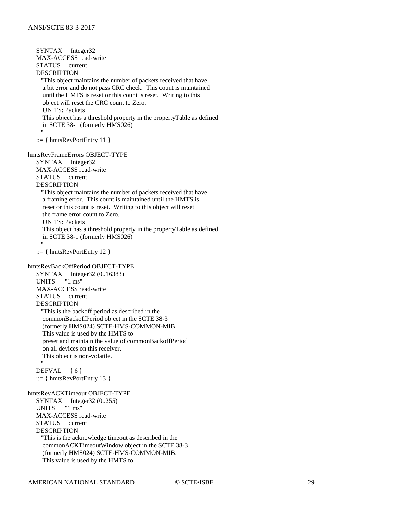SYNTAX Integer32 MAX-ACCESS read-write STATUS current DESCRIPTION "This object maintains the number of packets received that have a bit error and do not pass CRC check. This count is maintained until the HMTS is reset or this count is reset. Writing to this object will reset the CRC count to Zero. UNITS: Packets This object has a threshold property in the propertyTable as defined in SCTE 38-1 (formerly HMS026) "" ""  $::= \{ hmtsRevPortEntry 11 \}$ hmtsRevFrameErrors OBJECT-TYPE SYNTAX Integer32 MAX-ACCESS read-write STATUS current DESCRIPTION "This object maintains the number of packets received that have a framing error. This count is maintained until the HMTS is reset or this count is reset. Writing to this object will reset the frame error count to Zero. UNITS: Packets This object has a threshold property in the propertyTable as defined in SCTE 38-1 (formerly HMS026) "" "" ::= { hmtsRevPortEntry 12 } hmtsRevBackOffPeriod OBJECT-TYPE SYNTAX Integer32 (0..16383) UNITS "1 ms" MAX-ACCESS read-write STATUS current DESCRIPTION "This is the backoff period as described in the commonBackoffPeriod object in the SCTE 38-3 (formerly HMS024) SCTE-HMS-COMMON-MIB. This value is used by the HMTS to preset and maintain the value of commonBackoffPeriod on all devices on this receiver. This object is non-volatile. " " "  $DEFVAL$  { 6 }  $::= \{ hmtsRevPortEntry 13 \}$ hmtsRevACKTimeout OBJECT-TYPE SYNTAX Integer32 (0..255) UNITS "1 ms" MAX-ACCESS read-write STATUS current DESCRIPTION "This is the acknowledge timeout as described in the commonACKTimeoutWindow object in the SCTE 38-3 (formerly HMS024) SCTE-HMS-COMMON-MIB. This value is used by the HMTS to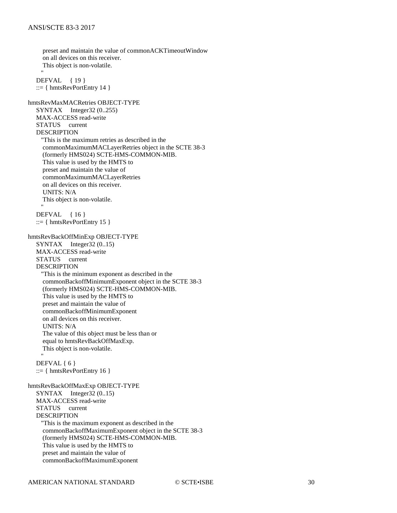preset and maintain the value of commonACKTimeoutWindow on all devices on this receiver. This object is non-volatile. "" "" DEFVAL { 19 }  $::= \{ hmtsRevPortEntry 14 \}$ hmtsRevMaxMACRetries OBJECT-TYPE SYNTAX Integer32 (0..255) MAX-ACCESS read-write STATUS current DESCRIPTION "This is the maximum retries as described in the commonMaximumMACLayerRetries object in the SCTE 38-3 (formerly HMS024) SCTE-HMS-COMMON-MIB. This value is used by the HMTS to preset and maintain the value of commonMaximumMACLayerRetries on all devices on this receiver. UNITS: N/A This object is non-volatile. " " " DEFVAL { 16 }  $::= \{ hmtsRevPortEntry 15 \}$ hmtsRevBackOffMinExp OBJECT-TYPE SYNTAX Integer32 (0..15) MAX-ACCESS read-write STATUS current DESCRIPTION "This is the minimum exponent as described in the commonBackoffMinimumExponent object in the SCTE 38-3 (formerly HMS024) SCTE-HMS-COMMON-MIB. This value is used by the HMTS to preset and maintain the value of commonBackoffMinimumExponent on all devices on this receiver. UNITS: N/A The value of this object must be less than or equal to hmtsRevBackOffMaxExp. This object is non-volatile. "" "" DEFVAL { 6 }  $::= \{ hmtsRevPortEntry 16 \}$ hmtsRevBackOffMaxExp OBJECT-TYPE SYNTAX Integer32 (0..15) MAX-ACCESS read-write STATUS current DESCRIPTION "This is the maximum exponent as described in the commonBackoffMaximumExponent object in the SCTE 38-3 (formerly HMS024) SCTE-HMS-COMMON-MIB. This value is used by the HMTS to preset and maintain the value of commonBackoffMaximumExponent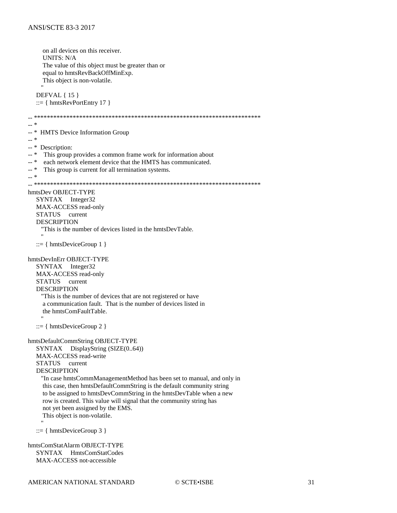```
on all devices on this receiver.
     UNITS: N/A
     The value of this object must be greater than or
     equal to hmtsRevBackOffMinExp.
    This object is non-volatile.
  DEFVAL { 15 }
   ::= \{ hmtsRevPortEntry 17 \}\overline{a} *
- *
    HMTS Device Information Group
\mathbb{L}^* *
-- * Description:
\overline{a} \overline{a} \overline{a}This group provides a common frame work for information about
\overline{a} \overline{a}each network element device that the HMTS has communicated.
- *
     This group is current for all termination systems.
- *
hmtsDev OBJECT-TYPE
  SYNTAX Integer32
  MAX-ACCESS read-only
  STATUS current
  DESCRIPTION
    "This is the number of devices listed in the hmtsDevTable.
   ::= \{ hmtsDeviceGroup 1 \}hmtsDevInErr OBJECT-TYPE
  SYNTAX Integer32
  MAX-ACCESS read-only
  STATUS current
  DESCRIPTION
    "This is the number of devices that are not registered or have
     a communication fault. That is the number of devices listed in
     the hmtsComFaultTable.
   ::= \{ hmtsDeviceGroup 2 \}hmtsDefaultCommString OBJECT-TYPE
  SYNTAX DisplayString (SIZE(0..64))
  MAX-ACCESS read-write
  STATUS current
  DESCRIPTION
    "In case hmtsCommManagementMethod has been set to manual, and only in
     this case, then hmtsDefaultCommString is the default community string
     to be assigned to hmtsDevCommString in the hmtsDevTable when a new
     row is created. This value will signal that the community string has
     not yet been assigned by the EMS.
    This object is non-volatile.
   ::= \{ hmtsDeviceGroup 3 \}hmtsComStatAlarm OBJECT-TYPE
```
SYNTAX HmtsComStatCodes MAX-ACCESS not-accessible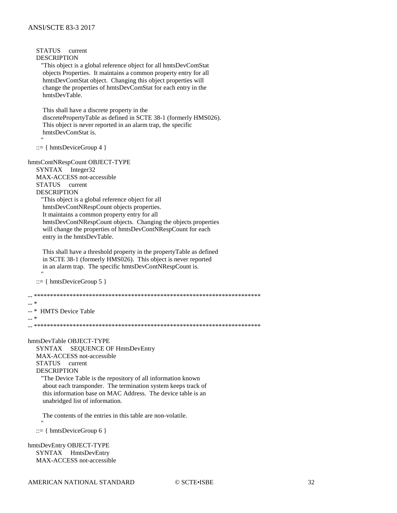STATUS current **DESCRIPTION** "This object is a global reference object for all hmtsDevComStat objects Properties. It maintains a common property entry for all hmtsDevComStat object. Changing this object properties will change the properties of hmtsDevComStat for each entry in the hmtsDevTable. This shall have a discrete property in the discretePropertyTable as defined in SCTE 38-1 (formerly HMS026). This object is never reported in an alarm trap, the specific hmtsDevComStat is.  $::= \{ hmtsDeviceGroup 4 \}$ hmtsContNRespCount OBJECT-TYPE SYNTAX Integer32 MAX-ACCESS not-accessible **STATUS** current **DESCRIPTION** "This object is a global reference object for all hmtsDevContNRespCount objects properties. It maintains a common property entry for all hmtsDevContNRespCount objects. Changing the objects properties will change the properties of hmtsDevContNRespCount for each entry in the hmtsDevTable. This shall have a threshold property in the propertyTable as defined in SCTE 38-1 (formerly HMS026). This object is never reported in an alarm trap. The specific hmtsDevContNRespCount is.  $::= \{ hmtsDeviceGroup 5 \}$  $\sim$  \* -- \* HMTS Device Table  $-$  \* hmtsDevTable OBJECT-TYPE SYNTAX SEQUENCE OF HmtsDevEntry MAX-ACCESS not-accessible STATUS current **DESCRIPTION** "The Device Table is the repository of all information known about each transponder. The termination system keeps track of this information base on MAC Address. The device table is an unabridged list of information. The contents of the entries in this table are non-volatile.  $::= \{ hmtsDeviceGroup 6 \}$ hmtsDevEntry OBJECT-TYPE SYNTAX HmtsDevEntry

MAX-ACCESS not-accessible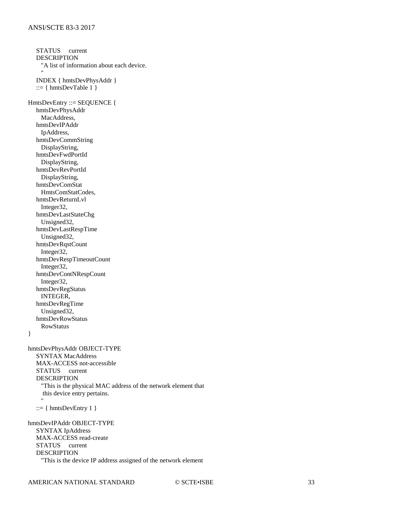STATUS current DESCRIPTION "A list of information about each device. "" "" INDEX { hmtsDevPhysAddr } ::= { hmtsDevTable  $1$  } HmtsDevEntry ::= SEQUENCE { hmtsDevPhysAddr MacAddress, hmtsDevIPAddr IpAddress, hmtsDevCommString DisplayString, hmtsDevFwdPortId DisplayString, hmtsDevRevPortId DisplayString, hmtsDevComStat HmtsComStatCodes, hmtsDevReturnLvl Integer32, hmtsDevLastStateChg Unsigned32, hmtsDevLastRespTime Unsigned32, hmtsDevRqstCount Integer32, hmtsDevRespTimeoutCount Integer32, hmtsDevContNRespCount Integer32, hmtsDevRegStatus INTEGER, hmtsDevRegTime Unsigned32, hmtsDevRowStatus RowStatus } hmtsDevPhysAddr OBJECT-TYPE SYNTAX MacAddress MAX-ACCESS not-accessible STATUS current DESCRIPTION "This is the physical MAC address of the network element that this device entry pertains. "" "" ::=  $\{ hmtsDevEntry 1 \}$ hmtsDevIPAddr OBJECT-TYPE SYNTAX IpAddress MAX-ACCESS read-create STATUS current DESCRIPTION "This is the device IP address assigned of the network element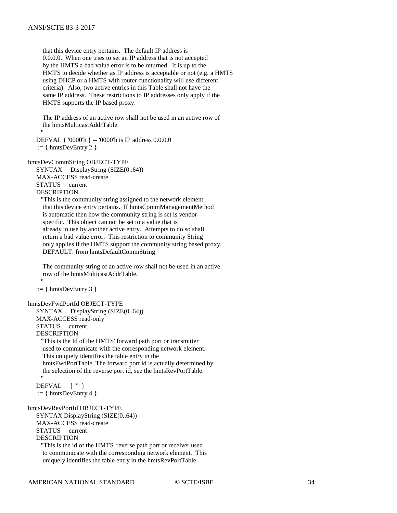" " "

 that this device entry pertains. The default IP address is 0.0.0.0. When one tries to set an IP address that is not accepted by the HMTS a bad value error is to be returned. It is up to the HMTS to decide whether as IP address is acceptable or not (e.g. a HMTS using DHCP or a HMTS with router-functionality will use different criteria). Also, two active entries in this Table shall not have the same IP address. These restrictions to IP addresses only apply if the HMTS supports the IP based proxy.

 The IP address of an active row shall not be used in an active row of the hmtsMulticastAddrTable.

 DEFVAL { '0000'h } -- '0000'h is IP address 0.0.0.0  $::= \{ hintsDevEntry 2 \}$ 

hmtsDevCommString OBJECT-TYPE

 SYNTAX DisplayString (SIZE(0..64)) MAX-ACCESS read-create STATUS current DESCRIPTION

 "This is the community string assigned to the network element that this device entry pertains. If hmtsCommManagementMethod is automatic then how the community string is set is vendor specific. This object can not be set to a value that is already in use by another active entry. Attempts to do so shall return a bad value error. This restriction to community String only applies if the HMTS support the community string based proxy. DEFAULT: from hmtsDefaultCommString

 The community string of an active row shall not be used in an active row of the hmtsMulticastAddrTable. "" ""

 $::= { hmtsDevEntry 3 }$ 

hmtsDevFwdPortId OBJECT-TYPE

 SYNTAX DisplayString (SIZE(0..64)) MAX-ACCESS read-only STATUS current DESCRIPTION

 "This is the Id of the HMTS' forward path port or transmitter used to communicate with the corresponding network element. This uniquely identifies the table entry in the hmtsFwdPortTable. The forward port id is actually determined by the selection of the reverse port id, see the hmtsRevPortTable. "" ""

 DEFVAL { "" } ::=  $\{ hmtsDevEntry 4 \}$ 

hmtsDevRevPortId OBJECT-TYPE SYNTAX DisplayString (SIZE(0..64)) MAX-ACCESS read-create STATUS current DESCRIPTION

 "This is the id of the HMTS' reverse path port or receiver used to communicate with the corresponding network element. This uniquely identifies the table entry in the hmtsRevPortTable.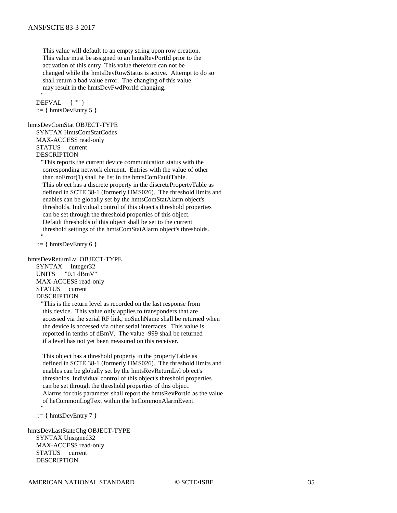This value will default to an empty string upon row creation. This value must be assigned to an hmtsRevPortId prior to the activation of this entry. This value therefore can not be changed while the hmtsDevRowStatus is active. Attempt to do so shall return a bad value error. The changing of this value may result in the hmtsDevFwdPortId changing.

"" "" DEFVAL { "" } ::=  $\{ hmtsDevEntry 5 \}$ 

#### hmtsDevComStat OBJECT-TYPE

 SYNTAX HmtsComStatCodes MAX-ACCESS read-only STATUS current **DESCRIPTION** 

 "This reports the current device communication status with the corresponding network element. Entries with the value of other than noError(1) shall be list in the hmtsComFaultTable. This object has a discrete property in the discretePropertyTable as defined in SCTE 38-1 (formerly HMS026). The threshold limits and enables can be globally set by the hmtsComStatAlarm object's thresholds. Individual control of this object's threshold properties can be set through the threshold properties of this object. Default thresholds of this object shall be set to the current threshold settings of the hmtsComStatAlarm object's thresholds.

 $::= \{ hintsDevEntry 6 \}$ 

"" ""

hmtsDevReturnLvl OBJECT-TYPE

 SYNTAX Integer32 UNITS "0.1 dBmV" MAX-ACCESS read-only STATUS current DESCRIPTION

 "This is the return level as recorded on the last response from this device. This value only applies to transponders that are accessed via the serial RF link, noSuchName shall be returned when the device is accessed via other serial interfaces. This value is reported in tenths of dBmV. The value -999 shall be returned if a level has not yet been measured on this receiver.

 This object has a threshold property in the propertyTable as defined in SCTE 38-1 (formerly HMS026). The threshold limits and enables can be globally set by the hmtsRevReturnLvl object's thresholds. Individual control of this object's threshold properties can be set through the threshold properties of this object. Alarms for this parameter shall report the hmtsRevPortId as the value of heCommonLogText within the heCommonAlarmEvent.

 $::= { hmtsDevEntry 7 }$ 

"" ""

hmtsDevLastStateChg OBJECT-TYPE SYNTAX Unsigned32 MAX-ACCESS read-only STATUS current DESCRIPTION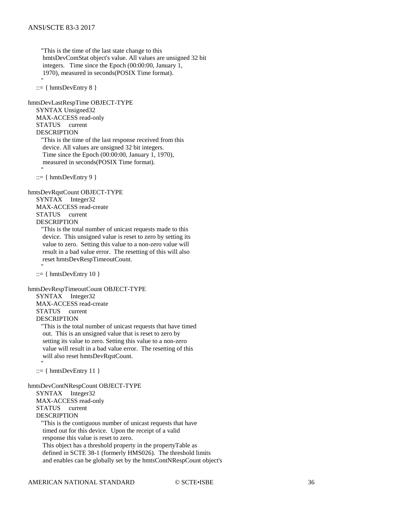"This is the time of the last state change to this hmtsDevComStat object's value. All values are unsigned 32 bit integers. Time since the Epoch (00:00:00, January 1, 1970), measured in seconds(POSIX Time format).

 $::= { hmtsDevEntry 8 }$ 

"" ""

"" ""

"" ""

"" ""

hmtsDevLastRespTime OBJECT-TYPE SYNTAX Unsigned32 MAX-ACCESS read-only STATUS current DESCRIPTION "This is the time of the last response received from this device. All values are unsigned 32 bit integers. Time since the Epoch (00:00:00, January 1, 1970), measured in seconds(POSIX Time format).

 $::= { hmtsDevEntry 9 }$ 

hmtsDevRqstCount OBJECT-TYPE

 SYNTAX Integer32 MAX-ACCESS read-create STATUS current DESCRIPTION

 "This is the total number of unicast requests made to this device. This unsigned value is reset to zero by setting its value to zero. Setting this value to a non-zero value will result in a bad value error. The resetting of this will also reset hmtsDevRespTimeoutCount.

 $::= { hmtsDevEntry 10 }$ 

hmtsDevRespTimeoutCount OBJECT-TYPE

SYNTAX Integer32

 MAX-ACCESS read-create STATUS current

DESCRIPTION

 "This is the total number of unicast requests that have timed out. This is an unsigned value that is reset to zero by setting its value to zero. Setting this value to a non-zero value will result in a bad value error. The resetting of this will also reset hmtsDevRqstCount.

 $::= { hmtsDevEntry 11 }$ 

hmtsDevContNRespCount OBJECT-TYPE SYNTAX Integer32 MAX-ACCESS read-only STATUS current DESCRIPTION "This is the contiguous number of unicast requests that have timed out for this device. Upon the receipt of a valid response this value is reset to zero. This object has a threshold property in the propertyTable as defined in SCTE 38-1 (formerly HMS026). The threshold limits and enables can be globally set by the hmtsContNRespCount object's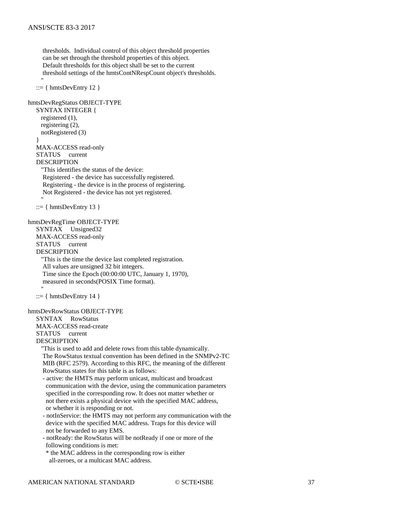thresholds. Individual control of this object threshold properties can be set through the threshold properties of this object. Default thresholds for this object shall be set to the current threshold settings of the hmtsContNRespCount object's thresholds. "" "" ::=  $\{ hmtsDevEntry 12 \}$ hmtsDevRegStatus OBJECT-TYPE SYNTAX INTEGER { registered (1), registering (2), notRegistered (3) } MAX-ACCESS read-only STATUS current DESCRIPTION "This identifies the status of the device: Registered - the device has successfully registered. Registering - the device is in the process of registering. Not Registered - the device has not yet registered. "" ""  $::= \{ hintsDevEntry 13 \}$ hmtsDevRegTime OBJECT-TYPE SYNTAX Unsigned32 MAX-ACCESS read-only STATUS current DESCRIPTION "This is the time the device last completed registration. All values are unsigned 32 bit integers. Time since the Epoch (00:00:00 UTC, January 1, 1970), measured in seconds(POSIX Time format). "" ""  $::= \{ hintsDevEntry 14 \}$ hmtsDevRowStatus OBJECT-TYPE SYNTAX RowStatus MAX-ACCESS read-create STATUS current DESCRIPTION "This is used to add and delete rows from this table dynamically. The RowStatus textual convention has been defined in the SNMPv2-TC MIB (RFC 2579). According to this RFC, the meaning of the different RowStatus states for this table is as follows: - active: the HMTS may perform unicast, multicast and broadcast communication with the device, using the communication parameters specified in the corresponding row. It does not matter whether or not there exists a physical device with the specified MAC address, or whether it is responding or not. - notInService: the HMTS may not perform any communication with the device with the specified MAC address. Traps for this device will not be forwarded to any EMS. - notReady: the RowStatus will be notReady if one or more of the following conditions is met: \* the MAC address in the corresponding row is either all-zeroes, or a multicast MAC address.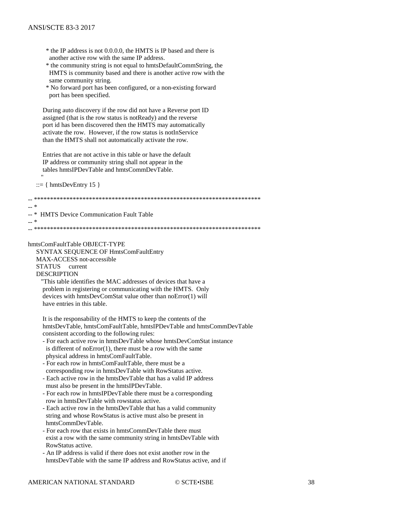- \* the IP address is not 0.0.0.0, the HMTS is IP based and there is another active row with the same IP address.
- \* the community string is not equal to hmtsDefaultCommString, the HMTS is community based and there is another active row with the same community string.
- \* No forward port has been configured, or a non-existing forward port has been specified.

During auto discovery if the row did not have a Reverse port ID assigned (that is the row status is notReady) and the reverse port id has been discovered then the HMTS may automatically activate the row. However, if the row status is notInService than the HMTS shall not automatically activate the row.

Entries that are not active in this table or have the default IP address or community string shall not appear in the tables hmtsIPDevTable and hmtsCommDevTable.

 $::= \{ hintsDevEntry 15 \}$ 

 $\overline{a}$   $\overline{a}$ 

 $-$  \*

 $-$  \* HMTS Device Communication Fault Table

hmtsComFaultTable OBJECT-TYPE

SYNTAX SEQUENCE OF HmtsComFaultEntry MAX-ACCESS not-accessible STATUS current **DESCRIPTION** 

"This table identifies the MAC addresses of devices that have a problem in registering or communicating with the HMTS. Only devices with hmtsDevComStat value other than noError(1) will have entries in this table.

It is the responsability of the HMTS to keep the contents of the hmtsDevTable, hmtsComFaultTable, hmtsIPDevTable and hmtsCommDevTable consistent according to the following rules:

- For each active row in hmtsDevTable whose hmtsDevComStat instance is different of noError $(1)$ , there must be a row with the same physical address in hmtsComFaultTable.
- For each row in hmtsComFaultTable, there must be a corresponding row in hmtsDevTable with RowStatus active.
- Each active row in the hmtsDevTable that has a valid IP address must also be present in the hmtsIPDevTable.
- For each row in hmtsIPDevTable there must be a corresponding row in hmtsDevTable with rowstatus active.
- Each active row in the hmtsDevTable that has a valid community string and whose RowStatus is active must also be present in hmtsCommDevTable
- For each row that exists in hmtsCommDevTable there must exist a row with the same community string in hmtsDevTable with RowStatus active.
- An IP address is valid if there does not exist another row in the hmtsDevTable with the same IP address and RowStatus active, and if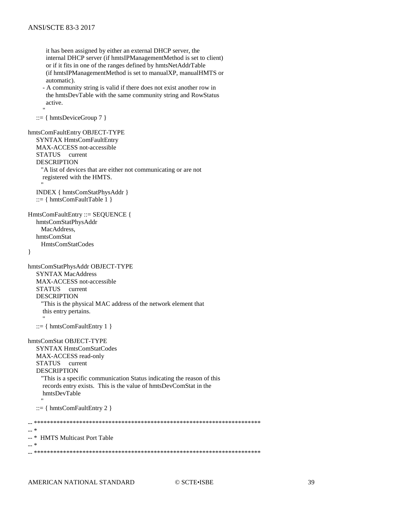```
 it has been assigned by either an external DHCP server, the
       internal DHCP server (if hmtsIPManagementMethod is set to client)
       or if it fits in one of the ranges defined by hmtsNetAddrTable
       (if hmtsIPManagementMethod is set to manualXP, manualHMTS or
       automatic).
      - A community string is valid if there does not exist another row in
       the hmtsDevTable with the same community string and RowStatus
       active.
"" ""
  ::= { hmtsDeviceGroup 7 }
hmtsComFaultEntry OBJECT-TYPE
   SYNTAX HmtsComFaultEntry
   MAX-ACCESS not-accessible
   STATUS current
   DESCRIPTION
     "A list of devices that are either not communicating or are not
      registered with the HMTS.
"" ""
   INDEX { hmtsComStatPhysAddr }
   ::= { hmtsComFaultTable 1 }
HmtsComFaultEntry ::= SEQUENCE {
   hmtsComStatPhysAddr
     MacAddress,
   hmtsComStat
     HmtsComStatCodes
}
hmtsComStatPhysAddr OBJECT-TYPE
   SYNTAX MacAddress
   MAX-ACCESS not-accessible
   STATUS current
   DESCRIPTION
     "This is the physical MAC address of the network element that
      this entry pertains.
"" ""
  ::= { hmtsComFaultEntry 1 }
hmtsComStat OBJECT-TYPE
   SYNTAX HmtsComStatCodes
   MAX-ACCESS read-only
   STATUS current
   DESCRIPTION
     "This is a specific communication Status indicating the reason of this
      records entry exists. This is the value of hmtsDevComStat in the
     hmtsDevTable
"" ""
   ::= { hmtsComFaultEntry 2 }
-- **********************************************************************
-- *
-- * HMTS Multicast Port Table
-- *
-- **********************************************************************
```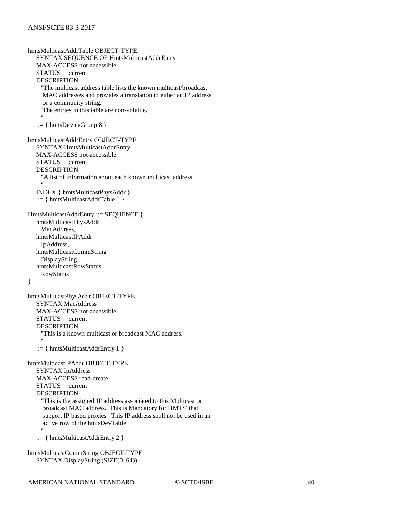hmtsMulticastAddrTable OBJECT-TYPE SYNTAX SEQUENCE OF HmtsMulticastAddrEntry MAX-ACCESS not-accessible STATUS current DESCRIPTION "The multicast address table lists the known multicast/broadcast MAC addresses and provides a translation to either an IP address or a community string. The entries in this table are non-volatile. "" ""  $::= \{ hmtsDeviceGroup 8 \}$ hmtsMulticastAddrEntry OBJECT-TYPE SYNTAX HmtsMulticastAddrEntry MAX-ACCESS not-accessible STATUS current **DESCRIPTION**  "A list of information about each known multicast address. "" "" INDEX { hmtsMulticastPhysAddr } ::= { hmtsMulticastAddrTable 1 } HmtsMulticastAddrEntry ::= SEQUENCE { hmtsMulticastPhysAddr MacAddress, hmtsMulticastIPAddr IpAddress, hmtsMulticastCommString DisplayString, hmtsMulticastRowStatus RowStatus } hmtsMulticastPhysAddr OBJECT-TYPE SYNTAX MacAddress MAX-ACCESS not-accessible STATUS current DESCRIPTION "This is a known multicast or broadcast MAC address. "" ""  $::= { hmtsMulticastAddrEntry 1 }$ hmtsMulticastIPAddr OBJECT-TYPE SYNTAX IpAddress MAX-ACCESS read-create STATUS current DESCRIPTION "This is the assigned IP address associated to this Multicast or broadcast MAC address. This is Mandatory for HMTS' that support IP based proxies. This IP address shall not be used in an active row of the hmtsDevTable. "" "" ::= { hmtsMulticastAddrEntry 2 } hmtsMulticastCommString OBJECT-TYPE

SYNTAX DisplayString (SIZE(0..64))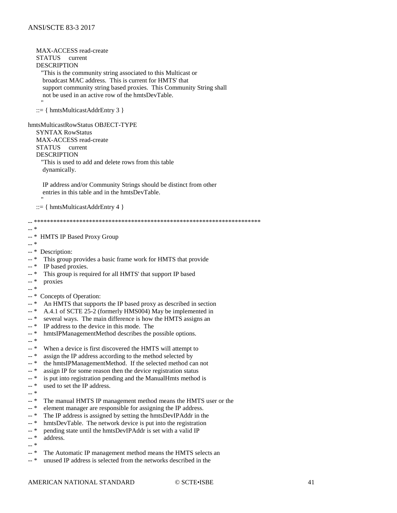MAX-ACCESS read-create **STATUS** current **DESCRIPTION** This is the community string associated to this Multicast or broadcast MAC address. This is current for HMTS' that support community string based proxies. This Community String shall not be used in an active row of the hmtsDevTable.  $::= \{ hmtsMulticastAddrEntry 3 \}$ hmtsMulticastRowStatus OBJECT-TYPE **SYNTAX RowStatus** MAX-ACCESS read-create STATUS current **DESCRIPTION** "This is used to add and delete rows from this table dynamically. IP address and/or Community Strings should be distinct from other entries in this table and in the hmtsDevTable.  $::= \{ hmtsMulticastAddrEntry 4 \}$  $\ast$  $\mathbb{L}^{\mathbb{L}}$ HMTS IP Based Proxy Group  $\overline{a}$   $\overline{a}$   $\overline{a}$  $-$  \* -- \* Description: This group provides a basic frame work for HMTS that provide  $-$  \*  $\overline{a}$  \* IP based proxies.  $-$  \* This group is required for all HMTS' that support IP based  $\overline{a}$   $\overline{a}$   $\overline{a}$ proxies  $\overline{a}$   $\overline{a}$   $\overline{a}$  $\overline{\phantom{a}}$  \* Concepts of Operation: An HMTS that supports the IP based proxy as described in section — \*  $\overline{a}$  \* A.4.1 of SCTE 25-2 (formerly HMS004) May be implemented in  $-$  \* several ways. The main difference is how the HMTS assigns an  $- *$ IP address to the device in this mode. The  $- *$ hmtsIPManagementMethod describes the possible options.  $\overline{a}$   $\overline{a}$  $\overline{a}$  \* When a device is first discovered the HMTS will attempt to  $\overline{a}$  \* assign the IP address according to the method selected by the hmtsIPManagementMethod. If the selected method can not  $\mathbb{L}^{\mathbb{R}}$  $\overline{a}$  \* assign IP for some reason then the device registration status  $-$  \* is put into registration pending and the ManualHmts method is  $\mathbb{L}^*$  \* used to set the IP address.  $\overline{a}$  \*  $- *$ The manual HMTS IP management method means the HMTS user or the  $-$  \* element manager are responsible for assigning the IP address.  $-$ \* The IP address is assigned by setting the hmtsDevIPAddr in the  $- *$ hmtsDevTable. The network device is put into the registration pending state until the hmtsDevIPAddr is set with a valid IP  $-$  \*  $_{++}$   $\ast$ address.  $-$  \*  $_{--}$   $\ast$ The Automatic IP management method means the HMTS selects an unused IP address is selected from the networks described in the  $-$ \*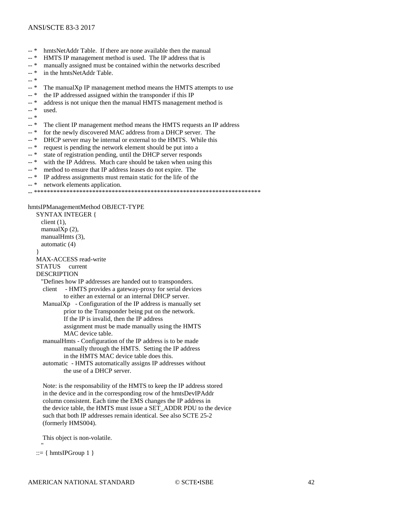- -- \* hmtsNetAddr Table. If there are none available then the manual
- -- \* HMTS IP management method is used. The IP address that is
- $-$  \* manually assigned must be contained within the networks described  $-$  \* in the hmtsNetAddr Table
- in the hmtsNetAddr Table.
- -- \*
- -- \* The manualXp IP management method means the HMTS attempts to use
- -- \* the IP addressed assigned within the transponder if this IP
- -- \* address is not unique then the manual HMTS management method is
- -- \* used.
- -- \*
- -- \* The client IP management method means the HMTS requests an IP address -- \* for the newly discovered MAC address from a DHCP server. The
- for the newly discovered MAC address from a DHCP server. The
- -- \* DHCP server may be internal or external to the HMTS. While this
- $-$  \* request is pending the network element should be put into a<br> $-$  \* state of registration pending until the DHCP server respond
- 
- -- \* state of registration pending, until the DHCP server responds<br>-- \* with the IP Address. Much care should be taken when using with the IP Address. Much care should be taken when using this
- -- \* method to ensure that IP address leases do not expire. The -- \* IP address assignments must remain static for the life of the
- IP address assignments must remain static for the life of the
- -- \* network elements application.

```
-- **********************************************************************
```
hmtsIPManagementMethod OBJECT-TYPE

 SYNTAX INTEGER { client  $(1)$ , manualXp (2), manualHmts (3), automatic (4) } MAX-ACCESS read-write STATUS current DESCRIPTION "Defines how IP addresses are handed out to transponders. client - HMTS provides a gateway-proxy for serial devices to either an external or an internal DHCP server. ManualX $p$  - Configuration of the IP address is manually set prior to the Transponder being put on the network. If the IP is invalid, then the IP address assignment must be made manually using the HMTS MAC device table. manualHmts - Configuration of the IP address is to be made manually through the HMTS. Setting the IP address in the HMTS MAC device table does this. automatic - HMTS automatically assigns IP addresses without the use of a DHCP server.

 Note: is the responsability of the HMTS to keep the IP address stored in the device and in the corresponding row of the hmtsDevIPAddr column consistent. Each time the EMS changes the IP address in the device table, the HMTS must issue a SET\_ADDR PDU to the device such that both IP addresses remain identical. See also SCTE 25-2 (formerly HMS004).

This object is non-volatile.

```
 ::= \{ hmtsIPGroup 1 \}
```
"" ""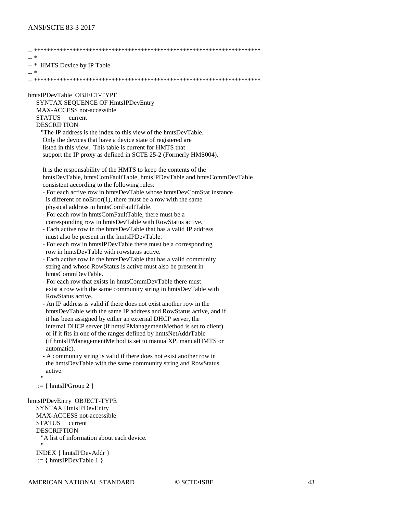| -- *                                                                                                                                                                                     |
|------------------------------------------------------------------------------------------------------------------------------------------------------------------------------------------|
| -- * HMTS Device by IP Table                                                                                                                                                             |
| -- *                                                                                                                                                                                     |
| hmtsIPDevTable OBJECT-TYPE<br>SYNTAX SEQUENCE OF HmtsIPDevEntry<br>MAX-ACCESS not-accessible<br>STATUS current                                                                           |
| <b>DESCRIPTION</b>                                                                                                                                                                       |
| "The IP address is the index to this view of the hmtsDevTable.                                                                                                                           |
| Only the devices that have a device state of registered are<br>listed in this view. This table is current for HMTS that                                                                  |
| support the IP proxy as defined in SCTE 25-2 (Formerly HMS004).                                                                                                                          |
| It is the responsability of the HMTS to keep the contents of the<br>hmtsDevTable, hmtsComFaultTable, hmtsIPDevTable and hmtsCommDevTable<br>consistent according to the following rules: |
| - For each active row in hmtsDevTable whose hmtsDevComStat instance                                                                                                                      |
| is different of $noError(1)$ , there must be a row with the same<br>physical address in hmtsComFaultTable.                                                                               |
| - For each row in hmtsComFaultTable, there must be a                                                                                                                                     |
| corresponding row in hmtsDevTable with RowStatus active.                                                                                                                                 |
| - Each active row in the hmtsDevTable that has a valid IP address                                                                                                                        |
| must also be present in the hmtsIPDevTable.                                                                                                                                              |
| - For each row in hmtsIPDevTable there must be a corresponding<br>row in hmtsDevTable with rowstatus active.                                                                             |
| - Each active row in the hmtsDevTable that has a valid community                                                                                                                         |
| string and whose RowStatus is active must also be present in<br>hmtsCommDevTable.                                                                                                        |
| - For each row that exists in hmtsCommDevTable there must                                                                                                                                |
| exist a row with the same community string in hmtsDevTable with<br>RowStatus active.                                                                                                     |
| - An IP address is valid if there does not exist another row in the                                                                                                                      |
| hmtsDevTable with the same IP address and RowStatus active, and if<br>it has been assigned by either an external DHCP server, the                                                        |
| internal DHCP server (if hmtsIPManagementMethod is set to client)                                                                                                                        |
| or if it fits in one of the ranges defined by hmtsNetAddrTable<br>(if hmtsIPManagementMethod is set to manualXP, manualHMTS or                                                           |
| automatic).<br>- A community string is valid if there does not exist another row in                                                                                                      |
| the hmtsDevTable with the same community string and RowStatus<br>active.                                                                                                                 |
| Ħ<br>$ ::= \{ hmtsIPGroup 2 \}$                                                                                                                                                          |
| hmtsIPDevEntry OBJECT-TYPE<br>SYNTAX HmtsIPDevEntry                                                                                                                                      |
| MAX-ACCESS not-accessible                                                                                                                                                                |
| <b>STATUS</b><br>current                                                                                                                                                                 |
| <b>DESCRIPTION</b>                                                                                                                                                                       |
| "A list of information about each device.                                                                                                                                                |
| INDEX { hmtsIPDevAddr }<br>$ ::= \{ hmtsIPDevTable 1 \}$                                                                                                                                 |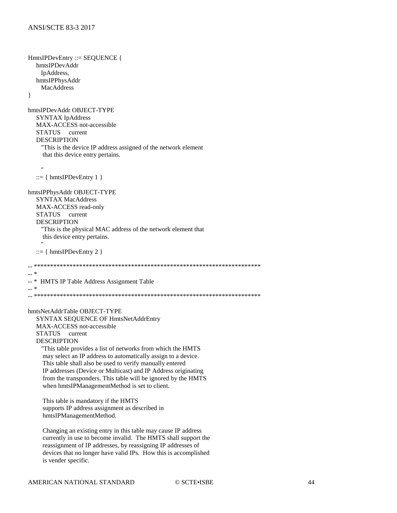```
HmtsIPDevEntry ::= SEQUENCE {
  hmtsIPDevAddr
    IpAddress,
  hmtsIPPhysAddr
    MacAddress
\mathcal{E}hmtsIPDevAddr OBJECT-TYPE
  SYNTAX IpAddress
  MAX-ACCESS not-accessible
  STATUS current
  DESCRIPTION
    "This is the device IP address assigned of the network element
    that this device entry pertains.
    \ddot{\phantom{0}} ::= \{ hmtsIPDevEntry 1 \}hmtsIPPhysAddr OBJECT-TYPE
  SYNTAX MacAddress
  MAX-ACCESS read-only
  STATUS current
  DESCRIPTION
    "This is the physical MAC address of the network element that
    this device entry pertains.
   ::= \{ hmtsIPDevEntry 2 \}- *
\overline{a} *
   HMTS IP Table Address Assignment Table
_{--} \asthmtsNetAddrTable OBJECT-TYPE
  SYNTAX SEQUENCE OF HmtsNetAddrEntry
  MAX-ACCESS not-accessible
            current
  STATUS
  DESCRIPTION
    "This table provides a list of networks from which the HMTS
    may select an IP address to automatically assign to a device.
    This table shall also be used to verify manually entered
    IP addresses (Device or Multicast) and IP Address originating
    from the transponders. This table will be ignored by the HMTS
    when hmtsIPManagementMethod is set to client.
    This table is mandatory if the HMTS
    supports IP address assignment as described in
    hmtsIPManagementMethod.
    Changing an existing entry in this table may cause IP address
    currently in use to become invalid. The HMTS shall support the
    reassignment of IP addresses, by reassigning IP addresses of
    devices that no longer have valid IPs. How this is accomplished
    is vender specific.
```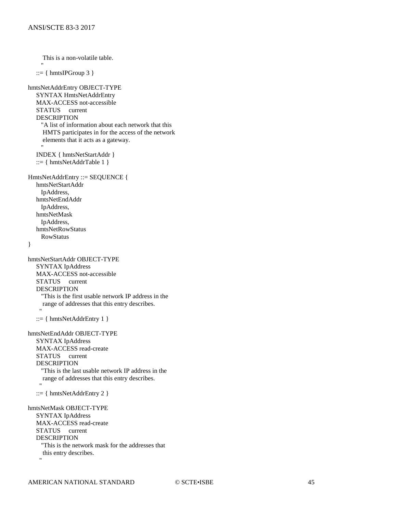This is a non-volatile table. "" ""  $::= \{ hmtsIPGroup 3 \}$ hmtsNetAddrEntry OBJECT-TYPE SYNTAX HmtsNetAddrEntry MAX-ACCESS not-accessible STATUS current DESCRIPTION "A list of information about each network that this HMTS participates in for the access of the network elements that it acts as a gateway. "" "" INDEX { hmtsNetStartAddr }  $::= \{ hmtsNetAddrTable 1 \}$ HmtsNetAddrEntry ::= SEQUENCE { hmtsNetStartAddr IpAddress, hmtsNetEndAddr IpAddress, hmtsNetMask IpAddress, hmtsNetRowStatus RowStatus } hmtsNetStartAddr OBJECT-TYPE SYNTAX IpAddress MAX-ACCESS not-accessible STATUS current DESCRIPTION "This is the first usable network IP address in the range of addresses that this entry describes. "  $::= { hmtsNetAddrEntry 1 }$ hmtsNetEndAddr OBJECT-TYPE SYNTAX IpAddress MAX-ACCESS read-create<br>STATUS current STATUS DESCRIPTION "This is the last usable network IP address in the range of addresses that this entry describes. " "  $::= \{ hmtsNetAddrEntry 2 \}$ hmtsNetMask OBJECT-TYPE SYNTAX IpAddress MAX-ACCESS read-create STATUS current DESCRIPTION "This is the network mask for the addresses that this entry describes. " "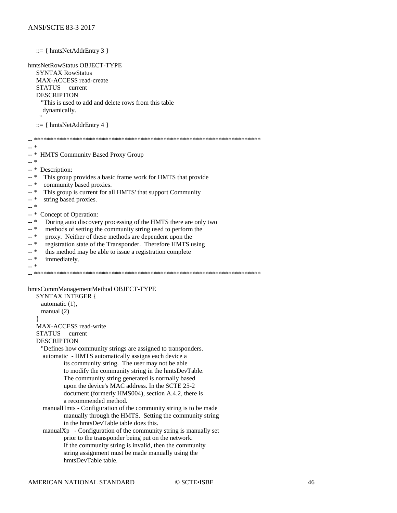$::= \{ hmtsNetAddrEntry 3 \}$ hmtsNetRowStatus OBJECT-TYPE **SYNTAX RowStatus** MAX-ACCESS read-create STATUS current **DESCRIPTION** "This is used to add and delete rows from this table dynamically.  $::= \{ hmtsNetAddrEntry 4 \}$  $\ast$  $\omega\omega$ HMTS Community Based Proxy Group  $-$ \*  $-$  \* -- \* Description:  $- *$ This group provides a basic frame work for HMTS that provide community based proxies. ...\* This group is current for all HMTS' that support Community  $- *$  $\overline{a}$  \* string based proxies.  $\mathbb{L}^*$  \*  $\overline{\phantom{a}}$  \* Concept of Operation:  $\overline{a}$  \* During auto discovery processing of the HMTS there are only two methods of setting the community string used to perform the ...\*  $-$  \* proxy. Neither of these methods are dependent upon the  $\overline{a}$  \* registration state of the Transponder. Therefore HMTS using  $\overline{a}$  \* this method may be able to issue a registration complete  $-$ \* immediately.  $-$  \* hmtsCommManagementMethod OBJECT-TYPE **SYNTAX INTEGER {** automatic  $(1)$ . manual  $(2)$ MAX-ACCESS read-write STATUS current **DESCRIPTION** "Defines how community strings are assigned to transponders. automatic - HMTS automatically assigns each device a its community string. The user may not be able to modify the community string in the hmtsDevTable. The community string generated is normally based upon the device's MAC address. In the SCTE 25-2 document (formerly HMS004), section A.4.2, there is a recommended method. manual Hmts - Configuration of the community string is to be made manually through the HMTS. Setting the community string in the hmtsDevTable table does this.  $manualXp - Configuration of the community string is manually set$ prior to the transponder being put on the network. If the community string is invalid, then the community string assignment must be made manually using the hmtsDevTable table.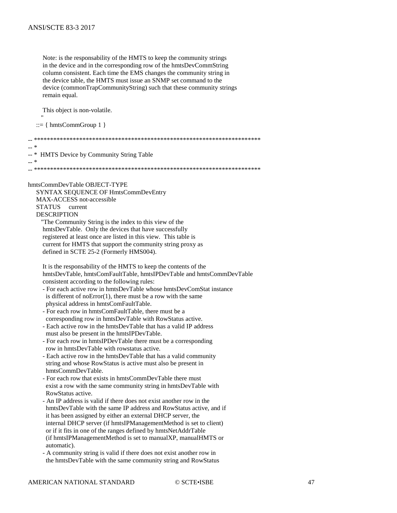Note: is the responsability of the HMTS to keep the community strings in the device and in the corresponding row of the hmtsDevCommString column consistent. Each time the EMS changes the community string in the device table, the HMTS must issue an SNMP set command to the device (commonTrapCommunityString) such that these community strings remain equal.

This object is non-volatile.

 $::= \{ hmtsCommGroup 1 \}$ 

 $\omega\omega$  $\overline{a}$   $\overline{a}$   $\overline{a}$ **HMTS** Device by Community String Table  $-$  \* hmtsCommDevTable OBJECT-TYPE SYNTAX SEQUENCE OF HmtsCommDevEntry MAX-ACCESS not-accessible **STATUS** current **DESCRIPTION** "The Community String is the index to this view of the hmtsDevTable. Only the devices that have successfully registered at least once are listed in this view. This table is current for HMTS that support the community string proxy as defined in SCTE 25-2 (Formerly HMS004).

It is the responsability of the HMTS to keep the contents of the hmtsDevTable, hmtsComFaultTable, hmtsIPDevTable and hmtsCommDevTable consistent according to the following rules:

- For each active row in hmtsDevTable whose hmtsDevComStat instance is different of  $noError(1)$ , there must be a row with the same physical address in hmtsComFaultTable.
- For each row in hmtsComFaultTable, there must be a corresponding row in hmtsDevTable with RowStatus active.
- Each active row in the hmtsDevTable that has a valid IP address must also be present in the hmtsIPDevTable.
- For each row in hmtsIPDevTable there must be a corresponding row in hmtsDevTable with rowstatus active.
- Each active row in the hmtsDevTable that has a valid community string and whose RowStatus is active must also be present in hmtsCommDevTable.
- For each row that exists in hmtsCommDevTable there must exist a row with the same community string in hmtsDevTable with RowStatus active.
- An IP address is valid if there does not exist another row in the hmtsDevTable with the same IP address and RowStatus active, and if it has been assigned by either an external DHCP server, the internal DHCP server (if hmtsIPManagementMethod is set to client) or if it fits in one of the ranges defined by hmtsNetAddrTable (if hmtsIPManagementMethod is set to manualXP, manualHMTS or automatic).
- A community string is valid if there does not exist another row in the hmtsDevTable with the same community string and RowStatus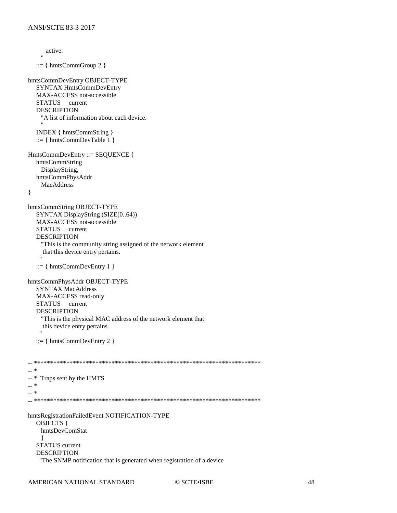```
active.
   ::= \{ hmtsCommGroup\ 2 \}hmtsCommDevEntry OBJECT-TYPE
  SYNTAX HmtsCommDevEntry
  MAX-ACCESS not-accessible
  STATUS current
  DESCRIPTION
    "A list of information about each device.
  INDEX { hmtsCommString }
   ::= \{ hintsCommDevTable 1 \}HmtsCommDevEntry ::= SEQUENCE {
  hmtsCommString
    DisplayString,
  hmtsCommPhysAddr
    MacAddress
\left\{ \right\}hmtsCommString OBJECT-TYPE
  SYNTAX DisplayString (SIZE(0..64))
  MAX-ACCESS not-accessible
  STATUS current
  DESCRIPTION
    "This is the community string assigned of the network element
    that this device entry pertains.
   ::= \{ hintsCommDevEntry 1 \}hmtsCommPhysAddr OBJECT-TYPE
  SYNTAX MacAddress
  MAX-ACCESS read-only
  STATUS
           current
  DESCRIPTION
    "This is the physical MAC address of the network element that
    this device entry pertains.
   ::= \{ hmtsCommDevEntry 2 \}\overline{a} \overline{a} \overline{a}- *
   Traps sent by the HMTS
\overline{a} *
_{++} \asthmtsRegistrationFailedEvent NOTIFICATION-TYPE
  OBJECTS {
    hmtsDevComStat
    ₹
  STATUS current
  DESCRIPTION
   "The SNMP notification that is generated when registration of a device
```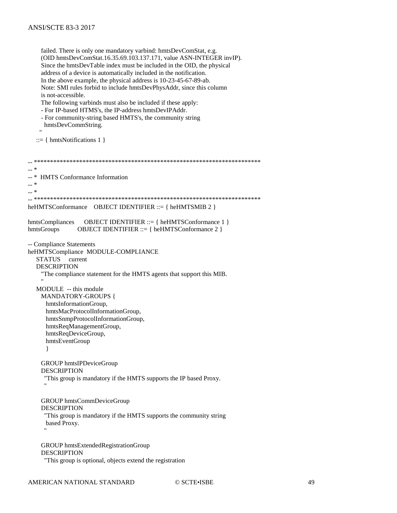failed. There is only one mandatory varbind: hmtsDevComStat, e.g. (OID hmtsDevComStat.16.35.69.103.137.171, value ASN-INTEGER invIP). Since the hmtsDevTable index must be included in the OID, the physical address of a device is automatically included in the notification. In the above example, the physical address is 10-23-45-67-89-ab. Note: SMI rules forbid to include hmtsDevPhysAddr, since this column is not-accessible. The following varbinds must also be included if these apply: - For IP-based HTMS's, the IP-address hmtsDevIPAddr. - For community-string based HMTS's, the community string hmtsDevCommString.  $::= \{ hmtsNotifications 1 \}$  $\sim$  $-$  \* **HMTS** Conformance Information  $-$  \*  $- *$ heHMTSConformance OBJECT IDENTIFIER ::= { heHMTSMIB 2 } OBJECT IDENTIFIER ::= { heHMTSConformance 1 } hmtsCompliances hmtsGroups OBJECT IDENTIFIER ::= { heHMTSConformance 2 } -- Compliance Statements heHMTSCompliance MODULE-COMPLIANCE **STATUS** current **DESCRIPTION** "The compliance statement for the HMTS agents that support this MIB. MODULE -- this module **MANDATORY-GROUPS {** hmtsInformationGroup, hmtsMacProtocolInformationGroup, hmtsSnmpProtocolInformationGroup, hmtsRegManagementGroup, hmtsReqDeviceGroup, hmtsEventGroup  $\mathcal{E}$ GROUP hmtsIPDeviceGroup **DESCRIPTION** "This group is mandatory if the HMTS supports the IP based Proxy. **GROUP** hmtsCommDeviceGroup **DESCRIPTION** "This group is mandatory if the HMTS supports the community string based Proxy. **GROUP** hmtsExtendedRegistrationGroup **DESCRIPTION** "This group is optional, objects extend the registration"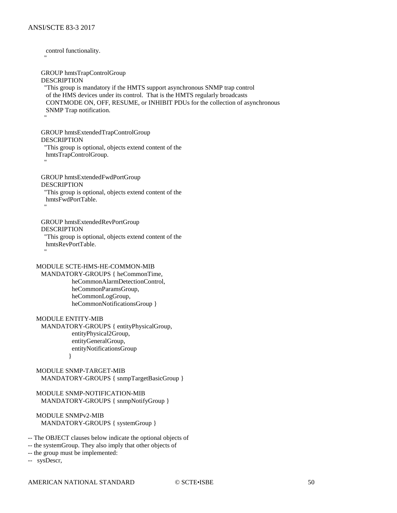control functionality. "" "" GROUP hmtsTrapControlGroup DESCRIPTION "This group is mandatory if the HMTS support asynchronous SNMP trap control of the HMS devices under its control. That is the HMTS regularly broadcasts CONTMODE ON, OFF, RESUME, or INHIBIT PDUs for the collection of asynchronous SNMP Trap notification. "" "" GROUP hmtsExtendedTrapControlGroup DESCRIPTION "This group is optional, objects extend content of the hmtsTrapControlGroup. "" "" GROUP hmtsExtendedFwdPortGroup DESCRIPTION "This group is optional, objects extend content of the hmtsFwdPortTable. "" "" GROUP hmtsExtendedRevPortGroup DESCRIPTION "This group is optional, objects extend content of the hmtsRevPortTable. "" "" MODULE SCTE-HMS-HE-COMMON-MIB MANDATORY-GROUPS { heCommonTime, heCommonAlarmDetectionControl, heCommonParamsGroup, heCommonLogGroup, heCommonNotificationsGroup } MODULE ENTITY-MIB MANDATORY-GROUPS { entityPhysicalGroup, entityPhysical2Group, entityGeneralGroup, entityNotificationsGroup } MODULE SNMP-TARGET-MIB MANDATORY-GROUPS { snmpTargetBasicGroup } MODULE SNMP-NOTIFICATION-MIB MANDATORY-GROUPS { snmpNotifyGroup } MODULE SNMPv2-MIB MANDATORY-GROUPS { systemGroup }

-- The OBJECT clauses below indicate the optional objects of

-- the systemGroup. They also imply that other objects of

-- the group must be implemented:

-- sysDescr,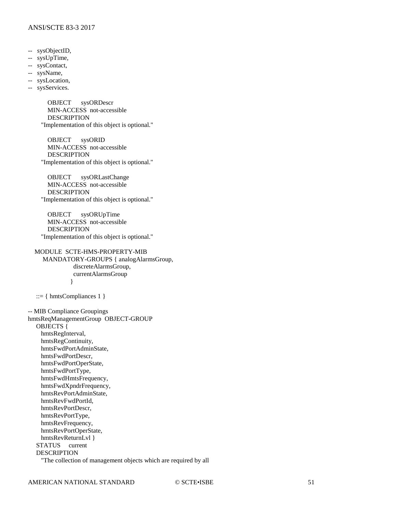#### ANSI/SCTE 83-3 2017

- -- sysObjectID,
- -- sysUpTime,
- -- sysContact,
- -- sysName,
- -- sysLocation,
- -- sysServices.

 OBJECT sysORDescr MIN-ACCESS not-accessible DESCRIPTION "Implementation of this object is optional."

 OBJECT sysORID MIN-ACCESS not-accessible DESCRIPTION "Implementation of this object is optional."

 OBJECT sysORLastChange MIN-ACCESS not-accessible DESCRIPTION "Implementation of this object is optional."

 OBJECT sysORUpTime MIN-ACCESS not-accessible DESCRIPTION "Implementation of this object is optional."

 MODULE SCTE-HMS-PROPERTY-MIB MANDATORY-GROUPS { analogAlarmsGroup, discreteAlarmsGroup, currentAlarmsGroup }

::= { hmtsCompliances 1 }

-- MIB Compliance Groupings hmtsReqManagementGroup OBJECT-GROUP OBJECTS { hmtsRegInterval, hmtsRegContinuity, hmtsFwdPortAdminState, hmtsFwdPortDescr, hmtsFwdPortOperState, hmtsFwdPortType, hmtsFwdHmtsFrequency, hmtsFwdXpndrFrequency, hmtsRevPortAdminState, hmtsRevFwdPortId, hmtsRevPortDescr, hmtsRevPortType, hmtsRevFrequency, hmtsRevPortOperState, hmtsRevReturnLvl } STATUS current DESCRIPTION "The collection of management objects which are required by all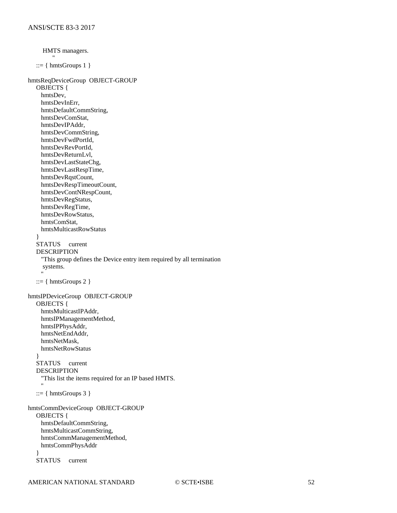```
 HMTS managers.
 "
   ::= { hmtsGroups 1 }
hmtsReqDeviceGroup OBJECT-GROUP
   OBJECTS {
     hmtsDev,
     hmtsDevInErr,
     hmtsDefaultCommString,
     hmtsDevComStat,
     hmtsDevIPAddr,
     hmtsDevCommString,
     hmtsDevFwdPortId,
     hmtsDevRevPortId,
     hmtsDevReturnLvl,
     hmtsDevLastStateChg,
     hmtsDevLastRespTime,
     hmtsDevRqstCount,
     hmtsDevRespTimeoutCount,
     hmtsDevContNRespCount,
     hmtsDevRegStatus,
     hmtsDevRegTime,
     hmtsDevRowStatus,
     hmtsComStat,
     hmtsMulticastRowStatus
 }
   STATUS current
   DESCRIPTION
     "This group defines the Device entry item required by all termination
     systems.
"" ""
   ::= \{ hintsGroups 2 \}hmtsIPDeviceGroup OBJECT-GROUP
   OBJECTS {
     hmtsMulticastIPAddr,
     hmtsIPManagementMethod,
     hmtsIPPhysAddr,
     hmtsNetEndAddr,
     hmtsNetMask,
     hmtsNetRowStatus
 }
   STATUS current
   DESCRIPTION
     "This list the items required for an IP based HMTS.
"" ""
   ::= \{ hmtsGroups 3 \}hmtsCommDeviceGroup OBJECT-GROUP
   OBJECTS {
     hmtsDefaultCommString,
     hmtsMulticastCommString,
     hmtsCommManagementMethod,
     hmtsCommPhysAddr
 }
   STATUS current
```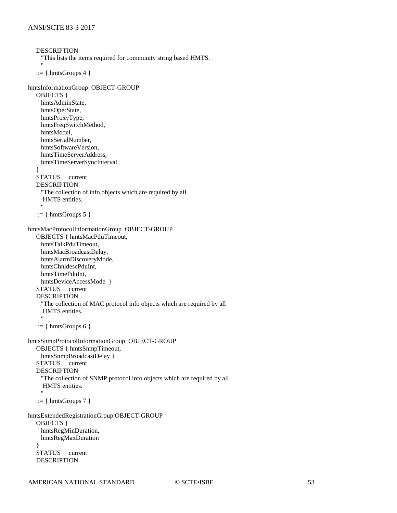```
DESCRIPTION
     "This lists the items required for community string based HMTS.
"" ""
  ::= \{ hmtsGroups 4 \}hmtsInformationGroup OBJECT-GROUP
   OBJECTS {
     hmtsAdminState,
     hmtsOperState,
     hmtsProxyType,
     hmtsFreqSwitchMethod,
     hmtsModel,
     hmtsSerialNumber,
     hmtsSoftwareVersion,
     hmtsTimeServerAddress,
     hmtsTimeServerSyncInterval
 }
   STATUS current
   DESCRIPTION
     "The collection of info objects which are required by all
      HMTS entities.
"" ""
   ::= \{ hintsGroups 5 \}hmtsMacProtocolInformationGroup OBJECT-GROUP
   OBJECTS { hmtsMacPduTimeout,
     hmtsTalkPduTimeout,
     hmtsMacBroadcastDelay,
     hmtsAlarmDiscoveryMode,
     hmtsChnldescPduInt,
     hmtsTimePduInt,
     hmtsDeviceAccessMode }
   STATUS current
   DESCRIPTION
     "The collection of MAC protocol info objects which are required by all
      HMTS entities.
"" ""
   ::= \{ hintsGroups 6 \}hmtsSnmpProtocolInformationGroup OBJECT-GROUP
   OBJECTS { hmtsSnmpTimeout,
     hmtsSnmpBroadcastDelay }
   STATUS current
   DESCRIPTION
     "The collection of SNMP protocol info objects which are required by all
      HMTS entities.
"" ""
  ::= \{ hmtsGroups 7 \}hmtsExtendedRegistrationGroup OBJECT-GROUP
   OBJECTS {
     hmtsRegMinDuration,
     hmtsRegMaxDuration
 }
   STATUS current
   DESCRIPTION
```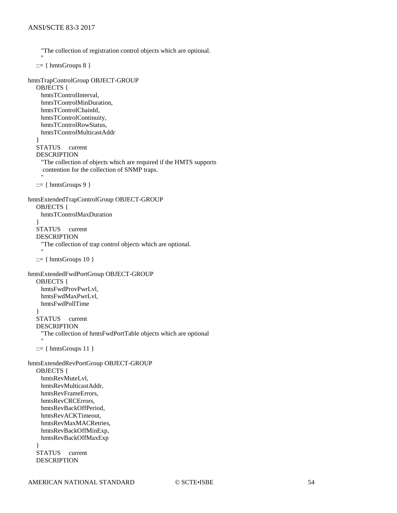```
 "The collection of registration control objects which are optional.
"" ""
   ::= \{ hintsGroups 8 \}hmtsTrapControlGroup OBJECT-GROUP
   OBJECTS {
     hmtsTControlInterval,
     hmtsTControlMinDuration,
     hmtsTControlChainId,
     hmtsTControlContinuity,
     hmtsTControlRowStatus,
     hmtsTControlMulticastAddr
 }
   STATUS current
   DESCRIPTION
     "The collection of objects which are required if the HMTS supports
      contention for the collection of SNMP traps.
"" ""
   ::= { hmtsGroups 9 }hmtsExtendedTrapControlGroup OBJECT-GROUP
   OBJECTS {
     hmtsTControlMaxDuration
 }
   STATUS current
   DESCRIPTION
     "The collection of trap control objects which are optional.
"" ""
   ::= \{ hmtsGroups 10 \}hmtsExtendedFwdPortGroup OBJECT-GROUP
   OBJECTS {
     hmtsFwdProvPwrLvl,
     hmtsFwdMaxPwrLvl,
     hmtsFwdPollTime
 }
   STATUS current
   DESCRIPTION
     "The collection of hmtsFwdPortTable objects which are optional
"" ""
   ::= \{ hintsGroups 11 \}hmtsExtendedRevPortGroup OBJECT-GROUP
   OBJECTS {
     hmtsRevMuteLvl,
     hmtsRevMulticastAddr,
     hmtsRevFrameErrors,
     hmtsRevCRCErrors,
     hmtsRevBackOffPeriod,
     hmtsRevACKTimeout,
     hmtsRevMaxMACRetries,
     hmtsRevBackOffMinExp,
     hmtsRevBackOffMaxExp
 }
   STATUS current
   DESCRIPTION
```